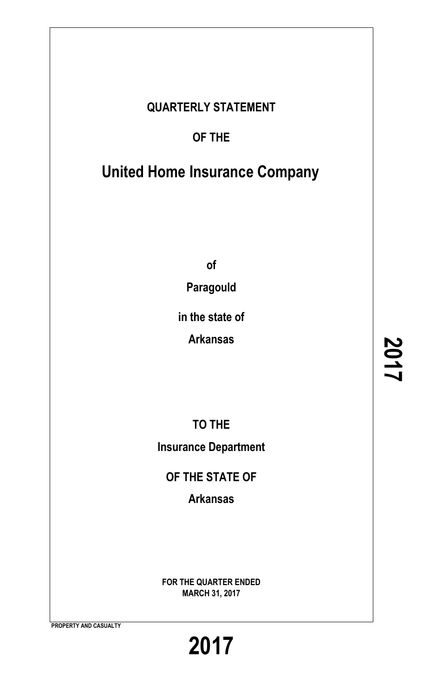### **QUARTERLY STATEMENT**

### **OF THE**

## **United Home Insurance Company**

**of**

**Paragould**

**in the state of**

**Arkansas**

**TO THE Insurance Department**

**OF THE STATE OF**

**Arkansas**

**FOR THE QUARTER ENDED MARCH 31, 2017**

**PROPERTY AND CASUALTY**

**2017**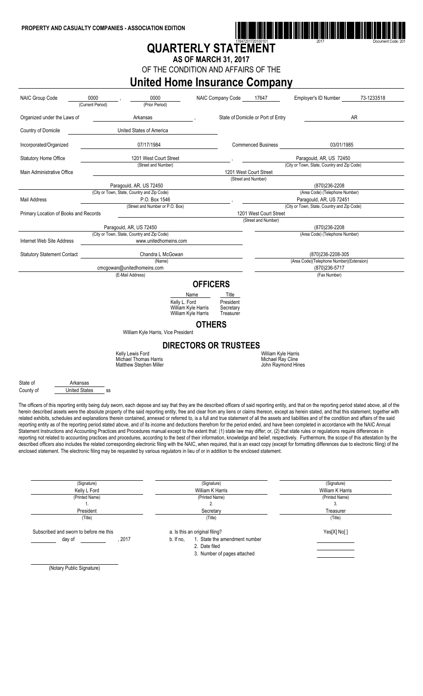

## **QUARTERLY STATEMENT**

**AS OF MARCH 31, 2017**

OF THE CONDITION AND AFFAIRS OF THE

### **United Home Insurance Company**

| <b>NAIC Group Code</b>                | 0000<br>(Current Period)   | 0000                                                                                                                                                                                                 |                                            | <b>NAIC Company Code</b>                 | 17647                  | Employer's ID Number                                                   | 73-1233518 |  |  |  |
|---------------------------------------|----------------------------|------------------------------------------------------------------------------------------------------------------------------------------------------------------------------------------------------|--------------------------------------------|------------------------------------------|------------------------|------------------------------------------------------------------------|------------|--|--|--|
|                                       |                            | (Prior Period)                                                                                                                                                                                       |                                            |                                          |                        |                                                                        |            |  |  |  |
| Organized under the Laws of           |                            | Arkansas                                                                                                                                                                                             |                                            | State of Domicile or Port of Entry<br>AR |                        |                                                                        |            |  |  |  |
| Country of Domicile                   |                            | United States of America                                                                                                                                                                             |                                            |                                          |                        |                                                                        |            |  |  |  |
| Incorporated/Organized                |                            | 07/17/1984                                                                                                                                                                                           |                                            | <b>Commenced Business</b><br>03/01/1985  |                        |                                                                        |            |  |  |  |
| <b>Statutory Home Office</b>          |                            | 1201 West Court Street                                                                                                                                                                               |                                            |                                          |                        | Paragould, AR, US 72450                                                |            |  |  |  |
|                                       |                            | (Street and Number)                                                                                                                                                                                  |                                            |                                          |                        | (City or Town, State, Country and Zip Code)                            |            |  |  |  |
| Main Administrative Office            |                            |                                                                                                                                                                                                      |                                            | 1201 West Court Street                   |                        |                                                                        |            |  |  |  |
|                                       |                            |                                                                                                                                                                                                      |                                            |                                          | (Street and Number)    |                                                                        |            |  |  |  |
|                                       |                            | Paragould, AR, US 72450                                                                                                                                                                              |                                            |                                          |                        | (870)236-2208                                                          |            |  |  |  |
|                                       |                            | (City or Town, State, Country and Zip Code)                                                                                                                                                          |                                            |                                          |                        | (Area Code) (Telephone Number)                                         |            |  |  |  |
| Mail Address                          |                            | P.O. Box 1546<br>(Street and Number or P.O. Box)                                                                                                                                                     |                                            |                                          |                        | Paragould, AR, US 72451<br>(City or Town, State, Country and Zip Code) |            |  |  |  |
| Primary Location of Books and Records |                            |                                                                                                                                                                                                      |                                            |                                          | 1201 West Court Street |                                                                        |            |  |  |  |
|                                       |                            |                                                                                                                                                                                                      |                                            |                                          | (Street and Number)    |                                                                        |            |  |  |  |
|                                       |                            | Paragould, AR, US 72450                                                                                                                                                                              |                                            |                                          |                        | (870)236-2208                                                          |            |  |  |  |
|                                       |                            | (City or Town, State, Country and Zip Code)                                                                                                                                                          |                                            |                                          |                        | (Area Code) (Telephone Number)                                         |            |  |  |  |
| Internet Web Site Address             |                            | www.unitedhomeins.com                                                                                                                                                                                |                                            |                                          |                        |                                                                        |            |  |  |  |
| <b>Statutory Statement Contact</b>    |                            | Chandra L McGowan                                                                                                                                                                                    |                                            | (870)236-2208-305                        |                        |                                                                        |            |  |  |  |
|                                       |                            | (Name)                                                                                                                                                                                               |                                            |                                          |                        | (Area Code)(Telephone Number)(Extension)                               |            |  |  |  |
|                                       |                            | cmcgowan@unitedhomeins.com                                                                                                                                                                           |                                            |                                          | (870)236-5717          |                                                                        |            |  |  |  |
|                                       |                            | (E-Mail Address)                                                                                                                                                                                     |                                            |                                          |                        | (Fax Number)                                                           |            |  |  |  |
|                                       |                            |                                                                                                                                                                                                      | <b>OFFICERS</b>                            |                                          |                        |                                                                        |            |  |  |  |
|                                       |                            |                                                                                                                                                                                                      | Name                                       | Title                                    |                        |                                                                        |            |  |  |  |
|                                       |                            | Kelly L. Ford                                                                                                                                                                                        | William Kyle Harris<br>William Kyle Harris | President<br>Secretary<br>Treasurer      |                        |                                                                        |            |  |  |  |
|                                       |                            |                                                                                                                                                                                                      |                                            |                                          |                        |                                                                        |            |  |  |  |
|                                       |                            |                                                                                                                                                                                                      | <b>OTHERS</b>                              |                                          |                        |                                                                        |            |  |  |  |
|                                       |                            | William Kyle Harris, Vice President                                                                                                                                                                  |                                            |                                          |                        |                                                                        |            |  |  |  |
|                                       |                            |                                                                                                                                                                                                      |                                            | <b>DIRECTORS OR TRUSTEES</b>             |                        |                                                                        |            |  |  |  |
|                                       |                            | Kelly Lewis Ford                                                                                                                                                                                     |                                            |                                          | William Kyle Harris    |                                                                        |            |  |  |  |
|                                       |                            | Michael Thomas Harris                                                                                                                                                                                |                                            |                                          | Michael Ray Cline      |                                                                        |            |  |  |  |
|                                       |                            | Matthew Stephen Miller                                                                                                                                                                               |                                            |                                          | John Raymond Hines     |                                                                        |            |  |  |  |
|                                       |                            |                                                                                                                                                                                                      |                                            |                                          |                        |                                                                        |            |  |  |  |
| State of                              | Arkansas                   |                                                                                                                                                                                                      |                                            |                                          |                        |                                                                        |            |  |  |  |
| County of                             | <b>United States</b><br>SS |                                                                                                                                                                                                      |                                            |                                          |                        |                                                                        |            |  |  |  |
|                                       |                            |                                                                                                                                                                                                      |                                            |                                          |                        |                                                                        |            |  |  |  |
|                                       |                            | The officers of this reporting entity being duly sworn, each depose and say that they are the described officers of said reporting entity, and that on the reporting period stated above, all of the |                                            |                                          |                        |                                                                        |            |  |  |  |
|                                       |                            | herein described assets were the absolute property of the said reporting entity, free and clear from any liens or claims thereon, except as herein stated, and that this statement, together with    |                                            |                                          |                        |                                                                        |            |  |  |  |
|                                       |                            | related exhibits, schedules and explanations therein contained, annexed or referred to, is a full and true statement of all the assets and liabilities and of the condition and affairs of the said  |                                            |                                          |                        |                                                                        |            |  |  |  |

reporting entity as of the reporting period stated above, and of its income and deductions therefrom for the period ended, and have been completed in accordance with the NAIC Annual Statement Instructions and Accounting Practices and Procedures manual except to the extent that: (1) state law may differ; or, (2) that state rules or regulations require differences in reporting not related to accounting practices and procedures, according to the best of their information, knowledge and belief, respectively. Furthermore, the scope of this attestation by the described officers also includes the related corresponding electronic filing with the NAIC, when required, that is an exact copy (except for formatting differences due to electronic filing) of the enclosed statement. The electronic filing may be requested by various regulators in lieu of or in addition to the enclosed statement.

| (Signature)                            |       | (Signature)                                | (Signature)      |
|----------------------------------------|-------|--------------------------------------------|------------------|
| Kelly L Ford                           |       | William K Harris                           | William K Harris |
| (Printed Name)                         |       | (Printed Name)                             | (Printed Name)   |
| ٠.                                     |       | 2.                                         | 3.               |
| President                              |       | Secretary                                  | Treasurer        |
| (Title)                                |       | (Title)                                    | (Title)          |
| Subscribed and sworn to before me this |       | a. Is this an original filing?             | Yes[X] No[]      |
| day of                                 | .2017 | 1. State the amendment number<br>b. If no, |                  |
|                                        |       | 2. Date filed                              |                  |
|                                        |       | 3. Number of pages attached                |                  |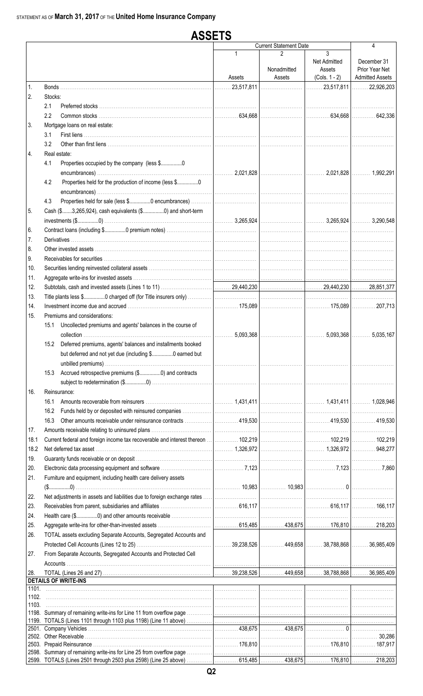|                | <b>ASSETS</b> |                                                                                                                                                                                                                                      |             |                               |                                                |                                                         |  |  |  |  |
|----------------|---------------|--------------------------------------------------------------------------------------------------------------------------------------------------------------------------------------------------------------------------------------|-------------|-------------------------------|------------------------------------------------|---------------------------------------------------------|--|--|--|--|
|                |               |                                                                                                                                                                                                                                      |             | <b>Current Statement Date</b> |                                                | 4                                                       |  |  |  |  |
|                |               |                                                                                                                                                                                                                                      | 1<br>Assets | 2<br>Nonadmitted<br>Assets    | 3<br>Net Admitted<br>Assets<br>$(Cols. 1 - 2)$ | December 31<br>Prior Year Net<br><b>Admitted Assets</b> |  |  |  |  |
| $\mathbf{1}$ . |               |                                                                                                                                                                                                                                      |             |                               | $ $ 23,517,811 $ $ 22,926,203                  |                                                         |  |  |  |  |
| 2.             | Stocks:       |                                                                                                                                                                                                                                      |             |                               |                                                |                                                         |  |  |  |  |
|                | 2.1           |                                                                                                                                                                                                                                      |             |                               |                                                |                                                         |  |  |  |  |
|                | 2.2           |                                                                                                                                                                                                                                      |             |                               |                                                |                                                         |  |  |  |  |
| 3.             |               | Mortgage loans on real estate:                                                                                                                                                                                                       |             |                               |                                                |                                                         |  |  |  |  |
|                | 3.1           |                                                                                                                                                                                                                                      |             |                               |                                                |                                                         |  |  |  |  |
|                | 3.2           |                                                                                                                                                                                                                                      |             |                               |                                                |                                                         |  |  |  |  |
| 4.             |               | Real estate:                                                                                                                                                                                                                         |             |                               |                                                |                                                         |  |  |  |  |
|                | 4.1           | Properties occupied by the company (less \$0                                                                                                                                                                                         |             |                               |                                                |                                                         |  |  |  |  |
|                | 4.2           | Properties held for the production of income (less \$0                                                                                                                                                                               |             |                               |                                                |                                                         |  |  |  |  |
|                |               |                                                                                                                                                                                                                                      |             |                               |                                                |                                                         |  |  |  |  |
|                | 4.3           |                                                                                                                                                                                                                                      |             |                               |                                                |                                                         |  |  |  |  |
| 5.             |               | Cash (\$3,265,924), cash equivalents (\$0) and short-term                                                                                                                                                                            |             |                               |                                                |                                                         |  |  |  |  |
|                |               |                                                                                                                                                                                                                                      |             |                               |                                                |                                                         |  |  |  |  |
| 6.             |               |                                                                                                                                                                                                                                      |             |                               |                                                |                                                         |  |  |  |  |
| 7.             |               |                                                                                                                                                                                                                                      |             |                               |                                                |                                                         |  |  |  |  |
| 8.             |               |                                                                                                                                                                                                                                      |             |                               |                                                |                                                         |  |  |  |  |
| 9.<br>10.      |               |                                                                                                                                                                                                                                      |             |                               |                                                |                                                         |  |  |  |  |
| 11.            |               |                                                                                                                                                                                                                                      |             |                               |                                                |                                                         |  |  |  |  |
| 12.            |               |                                                                                                                                                                                                                                      |             |                               |                                                |                                                         |  |  |  |  |
| 13.            |               |                                                                                                                                                                                                                                      |             |                               |                                                |                                                         |  |  |  |  |
| 14.            |               |                                                                                                                                                                                                                                      |             |                               |                                                |                                                         |  |  |  |  |
| 15.            |               | Premiums and considerations:                                                                                                                                                                                                         |             |                               |                                                |                                                         |  |  |  |  |
|                | 15.1          | Uncollected premiums and agents' balances in the course of                                                                                                                                                                           |             |                               |                                                |                                                         |  |  |  |  |
|                |               |                                                                                                                                                                                                                                      |             |                               |                                                |                                                         |  |  |  |  |
|                | 15.2          | Deferred premiums, agents' balances and installments booked                                                                                                                                                                          |             |                               |                                                |                                                         |  |  |  |  |
|                |               | but deferred and not yet due (including \$0 earned but                                                                                                                                                                               |             |                               |                                                |                                                         |  |  |  |  |
|                |               |                                                                                                                                                                                                                                      |             |                               |                                                |                                                         |  |  |  |  |
|                | 15.3          | Accrued retrospective premiums (\$0) and contracts                                                                                                                                                                                   |             |                               |                                                |                                                         |  |  |  |  |
|                |               |                                                                                                                                                                                                                                      |             |                               |                                                |                                                         |  |  |  |  |
| 16.            |               | Reinsurance:                                                                                                                                                                                                                         |             |                               |                                                |                                                         |  |  |  |  |
|                | 16.1          |                                                                                                                                                                                                                                      |             |                               |                                                |                                                         |  |  |  |  |
|                | 16.2          |                                                                                                                                                                                                                                      |             |                               |                                                |                                                         |  |  |  |  |
|                | 16.3          |                                                                                                                                                                                                                                      |             |                               |                                                |                                                         |  |  |  |  |
| 17.            |               |                                                                                                                                                                                                                                      |             |                               |                                                |                                                         |  |  |  |  |
| 18.1           |               |                                                                                                                                                                                                                                      |             |                               |                                                |                                                         |  |  |  |  |
| 18.2           |               |                                                                                                                                                                                                                                      |             |                               |                                                |                                                         |  |  |  |  |
| 19.            |               |                                                                                                                                                                                                                                      |             |                               |                                                |                                                         |  |  |  |  |
| 20.            |               |                                                                                                                                                                                                                                      |             |                               |                                                |                                                         |  |  |  |  |
| 21.            |               | Furniture and equipment, including health care delivery assets                                                                                                                                                                       |             |                               |                                                |                                                         |  |  |  |  |
| 22.            |               |                                                                                                                                                                                                                                      |             |                               |                                                |                                                         |  |  |  |  |
| 23.            |               |                                                                                                                                                                                                                                      |             |                               |                                                |                                                         |  |  |  |  |
| 24.            |               |                                                                                                                                                                                                                                      |             |                               |                                                |                                                         |  |  |  |  |
| 25.            |               |                                                                                                                                                                                                                                      |             |                               |                                                |                                                         |  |  |  |  |
| 26.            |               | TOTAL assets excluding Separate Accounts, Segregated Accounts and                                                                                                                                                                    |             |                               |                                                |                                                         |  |  |  |  |
|                |               |                                                                                                                                                                                                                                      |             |                               |                                                |                                                         |  |  |  |  |
| 27.            |               | From Separate Accounts, Segregated Accounts and Protected Cell                                                                                                                                                                       |             |                               |                                                |                                                         |  |  |  |  |
|                |               |                                                                                                                                                                                                                                      |             |                               |                                                |                                                         |  |  |  |  |
| 28.            |               |                                                                                                                                                                                                                                      |             |                               |                                                |                                                         |  |  |  |  |
|                |               | <b>DETAILS OF WRITE-INS</b>                                                                                                                                                                                                          |             |                               |                                                |                                                         |  |  |  |  |
| 1101.          |               | <u> 1990 - 1990 - 1990 - 1990 - 1990 - 1990 - 1990 - 1990 - 1990 - 1990 - 1990 - 1990 - 1990 - 1990 - 1990 - 1990 - 1990 - 1990 - 1990 - 1990 - 1990 - 1990 - 1990 - 1990 - 1990 - 1990 - 1990 - 1990 - 1990 - 1990 - 1990 - 199</u> |             |                               |                                                |                                                         |  |  |  |  |
| 1102.<br>1103. |               |                                                                                                                                                                                                                                      |             |                               |                                                |                                                         |  |  |  |  |
|                |               |                                                                                                                                                                                                                                      |             |                               |                                                |                                                         |  |  |  |  |
| 1199.          |               |                                                                                                                                                                                                                                      |             |                               |                                                |                                                         |  |  |  |  |
|                |               |                                                                                                                                                                                                                                      |             |                               |                                                |                                                         |  |  |  |  |
|                |               |                                                                                                                                                                                                                                      |             |                               |                                                |                                                         |  |  |  |  |
|                |               |                                                                                                                                                                                                                                      |             |                               |                                                |                                                         |  |  |  |  |
|                |               |                                                                                                                                                                                                                                      |             |                               |                                                |                                                         |  |  |  |  |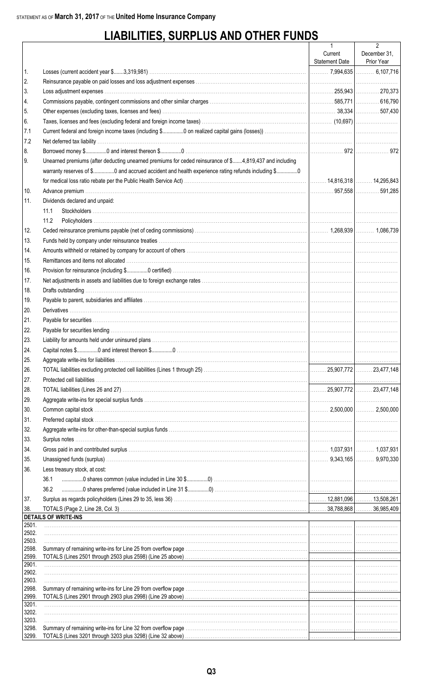## **LIABILITIES, SURPLUS AND OTHER FUNDS**

|                |                                                                                                                                                                                                                                | $\mathbf{1}$          | $\overline{2}$ |
|----------------|--------------------------------------------------------------------------------------------------------------------------------------------------------------------------------------------------------------------------------|-----------------------|----------------|
|                |                                                                                                                                                                                                                                | Current               | December 31,   |
|                |                                                                                                                                                                                                                                | <b>Statement Date</b> | Prior Year     |
| 1.             |                                                                                                                                                                                                                                |                       |                |
| 2.             |                                                                                                                                                                                                                                |                       |                |
| 3.             |                                                                                                                                                                                                                                |                       |                |
| 4.             |                                                                                                                                                                                                                                |                       |                |
| 5.             | Other expenses (excluding taxes, licenses and fees) manufactured contract contract contract and fees and fees manufactured contract contract and a set of 7430                                                                 |                       |                |
| 6.             |                                                                                                                                                                                                                                |                       |                |
| 7.1            |                                                                                                                                                                                                                                |                       |                |
| 7.2            |                                                                                                                                                                                                                                |                       |                |
| 8.             |                                                                                                                                                                                                                                |                       |                |
| 9.             | Unearned premiums (after deducting unearned premiums for ceded reinsurance of \$4,819,437 and including                                                                                                                        |                       |                |
|                | warranty reserves of \$0 and accrued accident and health experience rating refunds including \$0                                                                                                                               |                       |                |
|                |                                                                                                                                                                                                                                |                       |                |
| 10.            |                                                                                                                                                                                                                                |                       |                |
| 11.            | Dividends declared and unpaid:                                                                                                                                                                                                 |                       |                |
|                | 11.1                                                                                                                                                                                                                           |                       |                |
|                | 11.2                                                                                                                                                                                                                           |                       |                |
| 12.            |                                                                                                                                                                                                                                |                       |                |
| 13.            | Funds held by company under reinsurance treaties with the content of the content of the content of the content of the content of the content of the content of the content of the content of the content of the content of the |                       |                |
| 14.            |                                                                                                                                                                                                                                |                       |                |
| 15.            |                                                                                                                                                                                                                                |                       |                |
| 16.            |                                                                                                                                                                                                                                |                       |                |
| 17.            |                                                                                                                                                                                                                                |                       |                |
| 18.            |                                                                                                                                                                                                                                |                       |                |
| 19.            |                                                                                                                                                                                                                                |                       |                |
| 20.            |                                                                                                                                                                                                                                |                       |                |
| 21.            |                                                                                                                                                                                                                                |                       |                |
|                |                                                                                                                                                                                                                                |                       |                |
| 22.            |                                                                                                                                                                                                                                |                       |                |
| 23.            |                                                                                                                                                                                                                                |                       |                |
| 24.            |                                                                                                                                                                                                                                |                       |                |
| 25.            |                                                                                                                                                                                                                                |                       |                |
| 26.            |                                                                                                                                                                                                                                |                       |                |
| 27.            |                                                                                                                                                                                                                                |                       |                |
| 28.            |                                                                                                                                                                                                                                |                       |                |
| 29.            |                                                                                                                                                                                                                                |                       |                |
| 30.            |                                                                                                                                                                                                                                |                       |                |
| 31.            |                                                                                                                                                                                                                                |                       |                |
| 32.            |                                                                                                                                                                                                                                |                       |                |
| 33.            |                                                                                                                                                                                                                                |                       |                |
| 34.            |                                                                                                                                                                                                                                |                       |                |
| 35.            |                                                                                                                                                                                                                                |                       |                |
| 36.            | Less treasury stock, at cost:                                                                                                                                                                                                  |                       |                |
|                | 36.1                                                                                                                                                                                                                           |                       |                |
|                | 36.2                                                                                                                                                                                                                           |                       |                |
| 37.            |                                                                                                                                                                                                                                |                       |                |
| 38.            |                                                                                                                                                                                                                                |                       |                |
|                | <b>DETAILS OF WRITE-INS</b>                                                                                                                                                                                                    |                       |                |
| 2501.<br>2502. |                                                                                                                                                                                                                                |                       |                |
| 2503.          |                                                                                                                                                                                                                                |                       |                |
| 2598.          |                                                                                                                                                                                                                                |                       |                |
| 2599.          |                                                                                                                                                                                                                                |                       |                |
| 2901.          |                                                                                                                                                                                                                                |                       |                |
| 2902.<br>2903. |                                                                                                                                                                                                                                |                       |                |
| 2998.          |                                                                                                                                                                                                                                |                       |                |
| 2999.          |                                                                                                                                                                                                                                |                       |                |
| 3201.          |                                                                                                                                                                                                                                |                       |                |
| 3202.          |                                                                                                                                                                                                                                |                       |                |
| 3203.<br>3298. |                                                                                                                                                                                                                                |                       |                |
| 3299.          |                                                                                                                                                                                                                                |                       |                |
|                |                                                                                                                                                                                                                                |                       |                |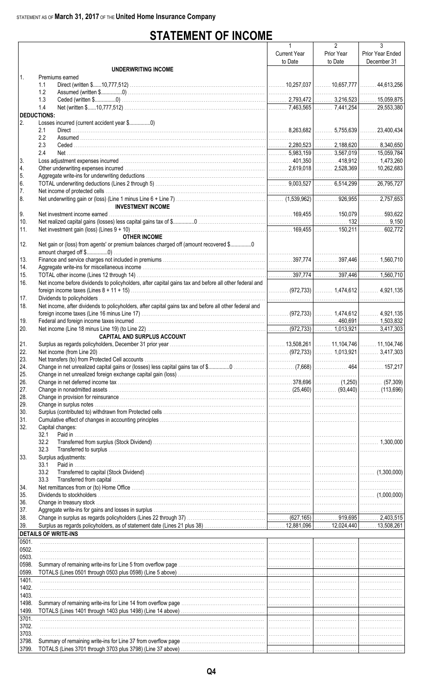### **STATEMENT OF INCOME**

|                    |                                                                                                        | $\mathbf{1}$        | $\overline{2}$ | 3                |
|--------------------|--------------------------------------------------------------------------------------------------------|---------------------|----------------|------------------|
|                    |                                                                                                        | <b>Current Year</b> | Prior Year     | Prior Year Ended |
|                    |                                                                                                        | to Date             | to Date        | December 31      |
|                    | <b>UNDERWRITING INCOME</b>                                                                             |                     |                |                  |
| $\mathbf{1}$ .     | Premiums earned                                                                                        |                     |                |                  |
|                    | 1.1                                                                                                    |                     |                |                  |
|                    | 1.2                                                                                                    |                     |                |                  |
|                    | 1.3                                                                                                    |                     |                |                  |
|                    | 1.4                                                                                                    |                     |                |                  |
| <b>DEDUCTIONS:</b> |                                                                                                        |                     |                |                  |
| 2.                 |                                                                                                        |                     |                |                  |
|                    | 2.1                                                                                                    |                     |                |                  |
|                    | 2.2                                                                                                    |                     |                |                  |
|                    | 2.3                                                                                                    |                     |                |                  |
|                    | 2.4                                                                                                    |                     |                |                  |
| 3.                 |                                                                                                        |                     |                |                  |
| 4.                 |                                                                                                        |                     |                |                  |
| 5.                 |                                                                                                        |                     |                |                  |
| 6.                 |                                                                                                        |                     |                |                  |
| 7.                 |                                                                                                        |                     |                |                  |
| 8.                 |                                                                                                        |                     |                |                  |
|                    | <b>INVESTMENT INCOME</b>                                                                               |                     |                |                  |
| 9.                 |                                                                                                        |                     |                |                  |
| 10.                |                                                                                                        |                     |                |                  |
| 11.                |                                                                                                        |                     |                |                  |
|                    | <b>OTHER INCOME</b>                                                                                    |                     |                |                  |
| 12.                | Net gain or (loss) from agents' or premium balances charged off (amount recovered \$0                  |                     |                |                  |
|                    |                                                                                                        |                     |                |                  |
| 13.                |                                                                                                        |                     |                |                  |
| 14.                |                                                                                                        |                     |                |                  |
| 15.                |                                                                                                        |                     |                |                  |
| 16.                | Net income before dividends to policyholders, after capital gains tax and before all other federal and |                     |                |                  |
|                    |                                                                                                        |                     |                |                  |
| 17.                |                                                                                                        |                     |                |                  |
| 18.                | Net income, after dividends to policyholders, after capital gains tax and before all other federal and |                     |                |                  |
|                    |                                                                                                        |                     |                |                  |
| 19.                |                                                                                                        |                     |                |                  |
| 20.                |                                                                                                        |                     |                |                  |
|                    | <b>CAPITAL AND SURPLUS ACCOUNT</b>                                                                     |                     |                |                  |
| 21.                |                                                                                                        |                     |                |                  |
| 22.                | Net income (from Line 20) 2417,303                                                                     |                     |                |                  |
| 23.                |                                                                                                        |                     |                |                  |
| 24.                |                                                                                                        |                     |                |                  |
| 25.                |                                                                                                        |                     |                |                  |
| 26.                |                                                                                                        |                     |                |                  |
| 27.                |                                                                                                        |                     |                |                  |
| 28.                |                                                                                                        |                     |                |                  |
| 29.                |                                                                                                        |                     |                |                  |
| 30.                |                                                                                                        |                     |                |                  |
| 31.                |                                                                                                        |                     |                |                  |
| 32.                | Capital changes:                                                                                       |                     |                |                  |
|                    | 32.1                                                                                                   |                     |                |                  |
|                    | 32.2                                                                                                   |                     |                |                  |
|                    | 32.3                                                                                                   |                     |                |                  |
| 33.                | Surplus adjustments:                                                                                   |                     |                |                  |
|                    | Paid in<br>33.1                                                                                        |                     |                |                  |
|                    | 33.2                                                                                                   |                     |                |                  |
|                    | 33.3                                                                                                   |                     |                |                  |
| 34.                |                                                                                                        |                     |                |                  |
| 35.                |                                                                                                        |                     |                |                  |
| 36.                |                                                                                                        |                     |                |                  |
| 37.                |                                                                                                        |                     |                |                  |
| 38.                |                                                                                                        |                     |                |                  |
| 39.                |                                                                                                        |                     |                |                  |
|                    | <b>DETAILS OF WRITE-INS</b>                                                                            |                     |                |                  |
| 0501.              |                                                                                                        |                     |                |                  |
| 0502.              |                                                                                                        |                     |                |                  |
| 0503.              |                                                                                                        |                     |                |                  |
| 0598.              |                                                                                                        |                     |                |                  |
| 0599.              |                                                                                                        |                     |                |                  |
| 1401.              |                                                                                                        |                     |                |                  |
| 1402.              |                                                                                                        |                     |                |                  |
| 1403.              |                                                                                                        |                     |                |                  |
| 1498.              |                                                                                                        |                     |                |                  |
| 1499.              |                                                                                                        |                     |                |                  |
| 3701.              |                                                                                                        |                     |                |                  |
| 3702.              |                                                                                                        |                     |                |                  |
| 3703.              |                                                                                                        |                     |                |                  |
| 3798.              |                                                                                                        |                     |                |                  |
| 3799.              |                                                                                                        |                     |                |                  |
|                    |                                                                                                        |                     |                |                  |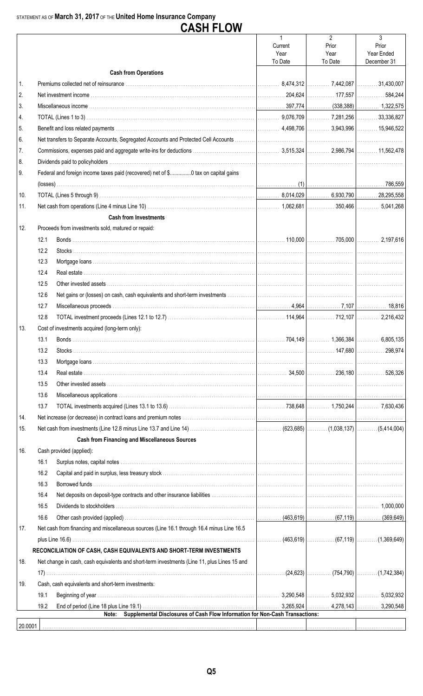|         |              | <b>CASH FLOW</b>                                                                            |                         |                         |                           |
|---------|--------------|---------------------------------------------------------------------------------------------|-------------------------|-------------------------|---------------------------|
|         |              |                                                                                             | $\mathbf{1}$<br>Current | $\overline{2}$<br>Prior | 3<br>Prior                |
|         |              |                                                                                             | Year<br>To Date         | Year<br>To Date         | Year Ended<br>December 31 |
|         |              | <b>Cash from Operations</b>                                                                 |                         |                         |                           |
| 1.      |              |                                                                                             |                         |                         |                           |
| 2.      |              |                                                                                             |                         |                         |                           |
| 3.      |              |                                                                                             |                         |                         |                           |
| 4.      |              |                                                                                             |                         |                         |                           |
| 5.      |              |                                                                                             |                         |                         |                           |
| 6.      |              |                                                                                             |                         |                         |                           |
| 7.      |              |                                                                                             |                         |                         |                           |
| 8.      |              |                                                                                             |                         |                         |                           |
| 9.      |              | Federal and foreign income taxes paid (recovered) net of \$0 tax on capital gains           |                         |                         |                           |
|         |              |                                                                                             |                         |                         |                           |
| 10.     |              |                                                                                             |                         |                         |                           |
| 11.     |              |                                                                                             |                         |                         |                           |
|         |              | <b>Cash from Investments</b>                                                                |                         |                         |                           |
| 12.     |              | Proceeds from investments sold, matured or repaid:                                          |                         |                         |                           |
|         | 12.1         |                                                                                             |                         |                         |                           |
|         | 12.2         |                                                                                             |                         |                         |                           |
|         |              |                                                                                             |                         |                         |                           |
|         | 12.3<br>12.4 |                                                                                             |                         |                         |                           |
|         | 12.5         |                                                                                             |                         |                         |                           |
|         |              |                                                                                             |                         |                         |                           |
|         | 12.6<br>12.7 |                                                                                             |                         |                         |                           |
|         | 12.8         |                                                                                             |                         |                         |                           |
|         |              |                                                                                             |                         |                         |                           |
| 13.     |              | Cost of investments acquired (long-term only):                                              |                         |                         |                           |
|         | 13.1         |                                                                                             |                         |                         |                           |
|         | 13.2         |                                                                                             |                         |                         |                           |
|         | 13.3         |                                                                                             |                         |                         |                           |
|         | 13.4         |                                                                                             |                         |                         |                           |
|         | 13.5         |                                                                                             |                         |                         |                           |
|         | 13.6         |                                                                                             |                         |                         |                           |
|         | 13.7         |                                                                                             |                         |                         |                           |
| 14.     |              |                                                                                             |                         |                         |                           |
| 15.     |              |                                                                                             |                         |                         |                           |
|         |              | <b>Cash from Financing and Miscellaneous Sources</b>                                        |                         |                         |                           |
| 16.     | 16.1         | Cash provided (applied):                                                                    |                         |                         |                           |
|         | 16.2         |                                                                                             |                         |                         |                           |
|         |              |                                                                                             |                         |                         |                           |
|         | 16.3         |                                                                                             |                         |                         |                           |
|         | 16.4         |                                                                                             |                         |                         |                           |
|         | 16.5         |                                                                                             |                         |                         |                           |
|         | 16.6         |                                                                                             |                         |                         |                           |
| 17.     |              | Net cash from financing and miscellaneous sources (Line 16.1 through 16.4 minus Line 16.5   |                         |                         |                           |
|         |              |                                                                                             |                         |                         |                           |
|         |              | RECONCILIATION OF CASH, CASH EQUIVALENTS AND SHORT-TERM INVESTMENTS                         |                         |                         |                           |
| 18.     |              | Net change in cash, cash equivalents and short-term investments (Line 11, plus Lines 15 and |                         |                         |                           |
|         |              |                                                                                             | .                       |                         |                           |
| 19.     |              | Cash, cash equivalents and short-term investments:                                          |                         |                         |                           |
|         | 19.1         |                                                                                             |                         |                         |                           |
|         | 19.2         | Supplemental Disclosures of Cash Flow Information for Non-Cash Transactions:<br>Note:       |                         |                         |                           |
| 20.0001 |              |                                                                                             |                         |                         |                           |
|         |              |                                                                                             |                         |                         |                           |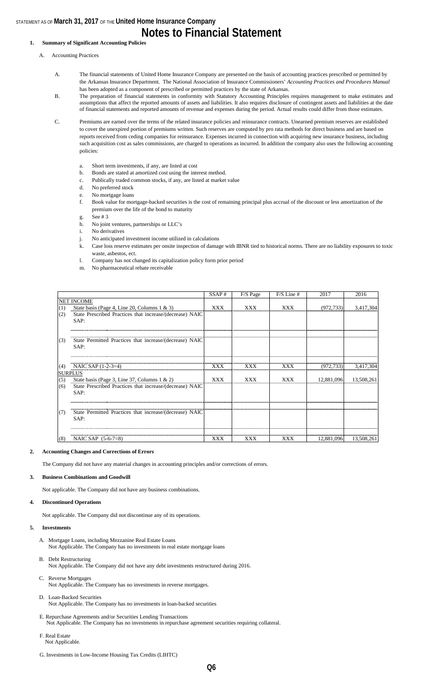### **Notes to Financial Statement**

#### **1. Summary of Significant Accounting Policies**

- A. Accounting Practices
	- A. The financial statements of United Home Insurance Company are presented on the basis of accounting practices prescribed or permitted by the Arkansas Insurance Department. The National Association of Insurance Commissioners' *Accounting Practices and Procedures Manual*  has been adopted as a component of prescribed or permitted practices by the state of Arkansas.
	- B. The preparation of financial statements in conformity with Statutory Accounting Principles requires management to make estimates and assumptions that affect the reported amounts of assets and liabilities. It also requires disclosure of contingent assets and liabilities at the date of financial statements and reported amounts of revenue and expenses during the period. Actual results could differ from those estimates.
	- C. Premiums are earned over the terms of the related insurance policies and reinsurance contracts. Unearned premium reserves are established to cover the unexpired portion of premiums written. Such reserves are computed by pro rata methods for direct business and are based on reports received from ceding companies for reinsurance. Expenses incurred in connection with acquiring new insurance business, including such acquisition cost as sales commissions, are charged to operations as incurred. In addition the company also uses the following accounting policies:
		- a. Short term investments, if any, are listed at cost
		- b. Bonds are stated at amortized cost using the interest method.
		- c. Publically traded common stocks, if any, are listed at market value
		- d. No preferred stock
		- e. No mortgage loans
		- f. Book value for mortgage-backed securities is the cost of remaining principal plus accrual of the discount or less amortization of the premium over the life of the bond to maturity
		- g. See # 3
		- h. No joint ventures, partnerships or LLC's
		- i. No derivatives
		- j. No anticipated investment income utilized in calculations
		- k. Case loss reserve estimates per onsite inspection of damage with IBNR tied to historical norms. There are no liability exposures to toxic waste, asbestos, ect.
		- l. Company has not changed its capitalization policy form prior period
		- m. No pharmaceutical rebate receivable

|     |                                                                    | SSAP#      | F/S Page   | $F/S$ Line # | 2017       | 2016                  |
|-----|--------------------------------------------------------------------|------------|------------|--------------|------------|-----------------------|
|     | <b>NET INCOME</b>                                                  |            |            |              |            |                       |
| (1) | State basis (Page 4, Line 20, Columns $1 \& 3$ )                   | XXX        | <b>XXX</b> | XXX          | (972, 733) | 3,417,304             |
| (2) | State Prescribed Practices that increase/(decrease) NAIC<br>SAP:   |            |            |              |            |                       |
| (3) | State Permitted Practices that increase/(decrease) NAIC<br>SAP:    |            |            |              |            |                       |
| (4) | NAIC SAP (1-2-3=4)                                                 | XXX        | XXX        | <b>XXX</b>   | (972, 733) | 3,417,304             |
| (5) | <b>SURPLUS</b><br>State basis (Page 3, Line 37, Columns $1 \& 2$ ) | <b>XXX</b> | <b>XXX</b> | XXX          | 12,881,096 | 13,508,261            |
| (6) | State Prescribed Practices that increase/(decrease) NAIC<br>SAP:   |            |            |              |            |                       |
| (7) | State Permitted Practices that increase/(decrease) NAIC<br>SAP:    |            |            |              |            |                       |
| (8) | NAIC SAP $(5-6-7=8)$                                               | XXX        | XXX        | XXX          |            | 12,881,096 13,508,261 |

#### **2. Accounting Changes and Corrections of Errors**

The Company did not have any material changes in accounting principles and/or corrections of errors.

#### **3. Business Combinations and Goodwill**

Not applicable. The Company did not have any business combinations.

#### **4. Discontinued Operations**

Not applicable. The Company did not discontinue any of its operations.

#### **5. Investments**

- A. Mortgage Loans, including Mezzanine Real Estate Loans Not Applicable. The Company has no investments in real estate mortgage loans
- B. Debt Restructuring Not Applicable. The Company did not have any debt investments restructured during 2016.
- C. Reverse Mortgages Not Applicable. The Company has no investments in reverse mortgages.
- D. Loan-Backed Securities Not Applicable. The Company has no investments in loan-backed securities
- E. Repurchase Agreements and/or Securities Lending Transactions Not Applicable. The Company has no investments in repurchase agreement securities requiring collateral.
- F. Real Estate Not Applicable.
- G. Investments in Low-Income Housing Tax Credits (LIHTC)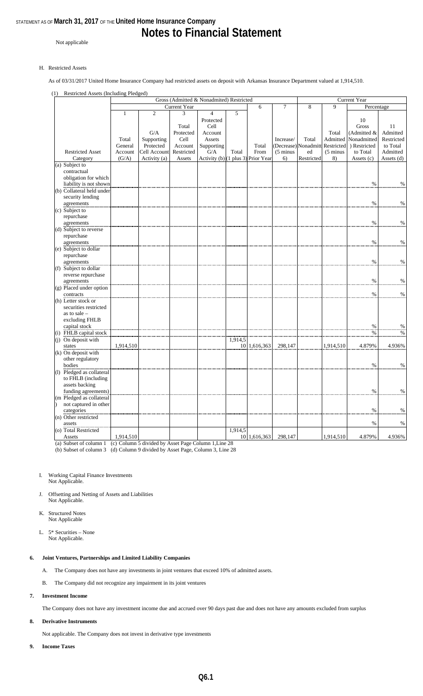### **Notes to Financial Statement**

Not applicable

#### H. Restricted Assets

As of 03/31/2017 United Home Insurance Company had restricted assets on deposit with Arkansas Insurance Department valued at 1,914,510.

#### (1) Restricted Assets (Including Pledged)

|                           |              |                |              | Gross (Admitted & Nonadmited) Restricted |         |              |                     |                                 | <b>Current Year</b> |              |               |
|---------------------------|--------------|----------------|--------------|------------------------------------------|---------|--------------|---------------------|---------------------------------|---------------------|--------------|---------------|
|                           |              |                | Current Year |                                          |         | 6            | 7                   | 8                               | 9                   | Percentage   |               |
|                           | $\mathbf{1}$ | $\overline{2}$ | 3            | $\overline{4}$                           | 5       |              |                     |                                 |                     |              |               |
|                           |              |                |              | Protected                                |         |              |                     |                                 |                     | 10           |               |
|                           |              |                | Total        | Cell                                     |         |              |                     |                                 |                     | <b>Gross</b> | 11            |
|                           |              | G/A            | Protected    | Account                                  |         |              |                     |                                 | Total               | (Admitted &  | Admitted      |
|                           |              |                |              |                                          |         |              |                     |                                 |                     |              |               |
|                           | Total        | Supporting     | Cell         | Assets                                   |         |              | Increase/           | Total                           | Admitted            | Nonadmitted  | Restricted    |
|                           | General      | Protected      | Account      | Supporting                               |         | Total        |                     | (Decrease) Nonadmitt Restricted |                     | ) Restricted | to Total      |
| <b>Restricted Asset</b>   | Account      | Cell Account   | Restricted   | G/A                                      | Total   | From         | $(5 \text{ minus})$ | ed                              | $(5 \text{ minus})$ | to Total     | Admitted      |
| Category                  | (G/A)        | Activity (a)   | Assets       | Activity (b) (1 plus 3) Prior Year       |         |              | 6)                  | Restricted                      | 8)                  | Assets (c)   | Assets (d)    |
| (a) Subject to            |              |                |              |                                          |         |              |                     |                                 |                     |              |               |
| contractual               |              |                |              |                                          |         |              |                     |                                 |                     |              |               |
| obligation for which      |              |                |              |                                          |         |              |                     |                                 |                     |              |               |
| liability is not shown    |              |                |              |                                          |         |              |                     |                                 |                     | $\%$         | $\%$          |
| (b) Collateral held under |              |                |              |                                          |         |              |                     |                                 |                     |              |               |
| security lending          |              |                |              |                                          |         |              |                     |                                 |                     |              |               |
| agreements                |              |                |              |                                          |         |              |                     |                                 |                     | $\%$         | $\%$          |
| (c) Subject to            |              |                |              |                                          |         |              |                     |                                 |                     |              |               |
| repurchase                |              |                |              |                                          |         |              |                     |                                 |                     |              |               |
| agreements                |              |                |              |                                          |         |              |                     |                                 |                     | $\%$         | $\%$          |
| (d) Subject to reverse    |              |                |              |                                          |         |              |                     |                                 |                     |              |               |
| repurchase                |              |                |              |                                          |         |              |                     |                                 |                     |              |               |
| agreements                |              |                |              |                                          |         |              |                     |                                 |                     | $\%$         | $\%$          |
|                           |              |                |              |                                          |         |              |                     |                                 |                     |              |               |
| (e) Subject to dollar     |              |                |              |                                          |         |              |                     |                                 |                     |              |               |
| repurchase                |              |                |              |                                          |         |              |                     |                                 |                     |              |               |
| agreements                |              |                |              |                                          |         |              |                     |                                 |                     | $\%$         | $\%$          |
| (f) Subject to dollar     |              |                |              |                                          |         |              |                     |                                 |                     |              |               |
| reverse repurchase        |              |                |              |                                          |         |              |                     |                                 |                     |              |               |
| agreements                |              |                |              |                                          |         |              |                     |                                 |                     | $\%$         | $\%$          |
| (g) Placed under option   |              |                |              |                                          |         |              |                     |                                 |                     |              |               |
| contracts                 |              |                |              |                                          |         |              |                     |                                 |                     | $\%$         | $\%$          |
| (h) Letter stock or       |              |                |              |                                          |         |              |                     |                                 |                     |              |               |
| securities restricted     |              |                |              |                                          |         |              |                     |                                 |                     |              |               |
| as to sale -              |              |                |              |                                          |         |              |                     |                                 |                     |              |               |
| excluding FHLB            |              |                |              |                                          |         |              |                     |                                 |                     |              |               |
| capital stock             |              |                |              |                                          |         |              |                     |                                 |                     | $\%$         | $\frac{0}{0}$ |
| (i) FHLB capital stock    |              |                |              |                                          |         |              |                     |                                 |                     | $\%$         | $\%$          |
| $(i)$ On deposit with     |              |                |              |                                          | 1,914,5 |              |                     |                                 |                     |              |               |
| states                    | 1,914,510    |                |              |                                          |         | 10 1,616,363 | 298,147             |                                 | 1,914,510           | 4.879%       | 4.936%        |
| $(k)$ On deposit with     |              |                |              |                                          |         |              |                     |                                 |                     |              |               |
| other regulatory          |              |                |              |                                          |         |              |                     |                                 |                     |              |               |
| bodies                    |              |                |              |                                          |         |              |                     |                                 |                     | $\%$         | $\%$          |
| (l) Pledged as collateral |              |                |              |                                          |         |              |                     |                                 |                     |              |               |
| to FHLB (including        |              |                |              |                                          |         |              |                     |                                 |                     |              |               |
|                           |              |                |              |                                          |         |              |                     |                                 |                     |              |               |
| assets backing            |              |                |              |                                          |         |              |                     |                                 |                     |              |               |
| funding agreements)       |              |                |              |                                          |         |              |                     |                                 |                     | $\%$         | $\%$          |
| (m Pledged as collateral  |              |                |              |                                          |         |              |                     |                                 |                     |              |               |
| not captured in other     |              |                |              |                                          |         |              |                     |                                 |                     |              |               |
| categories                |              |                |              |                                          |         |              |                     |                                 |                     | $\%$         | $\%$          |
| (n) Other restricted      |              |                |              |                                          |         |              |                     |                                 |                     |              |               |
| assets                    |              |                |              |                                          |         |              |                     |                                 |                     | $\%$         | $\%$          |
| (o) Total Restricted      |              |                |              |                                          | 1,914,5 |              |                     |                                 |                     |              |               |
| Assets                    | 1,914,510    |                |              |                                          |         | 10 1,616,363 | 298,147             |                                 | 1,914,510           | 4.879%       | 4.936%        |

(a) Subset of column 1 (b) Subset of column 3 (c) Column 5 divided by Asset Page Column 1,Line 28 (d) Column 9 divided by Asset Page, Column 3, Line 28

#### I. Working Capital Finance Investments Not Applicable.

J. Offsetting and Netting of Assets and Liabilities Not Applicable.

- K. Structured Notes Not Applicable
- L. 5\* Securities None Not Applicable.

#### **6. Joint Ventures, Partnerships and Limited Liability Companies**

- A. The Company does not have any investments in joint ventures that exceed 10% of admitted assets.
- B. The Company did not recognize any impairment in its joint ventures

#### **7. Investment Income**

The Company does not have any investment income due and accrued over 90 days past due and does not have any amounts excluded from surplus

#### **8. Derivative Instruments**

Not applicable. The Company does not invest in derivative type investments

**9. Income Taxes**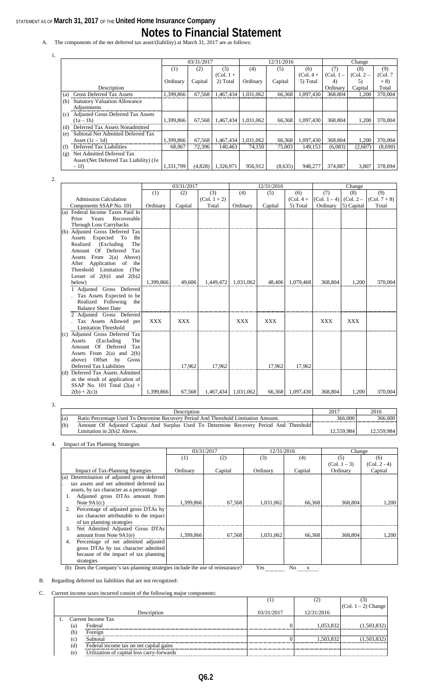### STATEMENT AS OF **March 31, 2017** OF THE **United Home Insurance Company Notes to Financial Statement**

A. The components of the net deferred tax asset/(liability) at March 31, 2017 are as follows:

|                                                  |           | 03/31/2017 |             |           | 12/31/2016 |             |             | Change      |          |
|--------------------------------------------------|-----------|------------|-------------|-----------|------------|-------------|-------------|-------------|----------|
|                                                  | (1)       | (2)        | (3)         | (4)       | (5)        | (6)         | (7)         | (8)         | (9)      |
|                                                  |           |            | $(Col. 1 +$ |           |            | $(Col. 4 +$ | $(Col. 1 -$ | $(Col. 2 -$ | (Col. 7) |
|                                                  | Ordinary  | Capital    | 2) Total    | Ordinary  | Capital    | 5) Total    | 4)          | 5)          | $+8)$    |
| Description                                      |           |            |             |           |            |             | Ordinary    | Capital     | Total    |
| Gross Deferred Tax Assets<br>(a)                 | 1,399,866 | 67,568     | 1,467,434   | 1,031,062 | 66,368     | 1,097,430   | 368.804     | 1,200       | 370,004  |
| <b>Statutory Valuation Allowance</b><br>(b)      |           |            |             |           |            |             |             |             |          |
| Adjustments                                      |           |            |             |           |            |             |             |             |          |
| <b>Adjusted Gross Deferred Tax Assets</b><br>(c) |           |            |             |           |            |             |             |             |          |
| $(1a-1b)$                                        | 1,399,866 | 67.568     | 1,467,434   | 1,031,062 | 66,368     | 1,097,430   | 368.804     | 1,200       | 370,004  |
| Deferred Tax Assets Nonadmitted<br>(d)           |           |            |             |           |            |             |             |             |          |
| Subtotal Net Admitted Deferred Tax<br>(e)        |           |            |             |           |            |             |             |             |          |
| Asset $(1c - 1d)$                                | 1,399,866 | 67,568     | 1,467,434   | 1,031,062 | 66,368     | 1,097,430   | 368.804     | 1,200       | 370,004  |
| Deferred Tax Liabilities<br>(f)                  | 68,067    | 72.396     | 140,463     | 74.150    | 75,003     | 149.153     | (6,083)     | (2,607)     | (8,690)  |
| Net Admitted Deferred Tax<br>(g)                 |           |            |             |           |            |             |             |             |          |
| Asset/(Net Deferred Tax Liability) (1e)          |           |            |             |           |            |             |             |             |          |
| $-1f$                                            | 1.331.799 | (4,828)    | 1,326,971   | 956.912   | (8,635)    | 948,277     | 374,887     | 3.807       | 378,694  |

2.

1.

|                                  | 03/31/2017 |            | 12/31/2016     |            |            | Change      |                         |            |                |
|----------------------------------|------------|------------|----------------|------------|------------|-------------|-------------------------|------------|----------------|
|                                  | (1)        | (2)        | (3)            | (4)        | (5)        | (6)         | (7)                     | (8)        | (9)            |
| <b>Admission Calculation</b>     |            |            | $(Col. 1 + 2)$ |            |            | $(Col. 4 +$ | $(Col. 1-4)$ $(Col. 2-$ |            | $(Col. 7 + 8)$ |
| Components SSAP No. 101          | Ordinary   | Capital    | Total          | Ordinary   | Capital    | 5) Total    | Ordinary                | 5) Capital | Total          |
| (a) Federal Income Taxes Paid In |            |            |                |            |            |             |                         |            |                |
| Recoverable<br>Prior<br>Years    |            |            |                |            |            |             |                         |            |                |
| <b>Through Loss Carrybacks</b>   |            |            |                |            |            |             |                         |            |                |
| (b) Adjusted Gross Deferred Tax  |            |            |                |            |            |             |                         |            |                |
| Expected<br>Assets<br>To<br>Be   |            |            |                |            |            |             |                         |            |                |
| (Excluding<br>The<br>Realized    |            |            |                |            |            |             |                         |            |                |
| Of Deferred<br>Tax<br>Amount     |            |            |                |            |            |             |                         |            |                |
| Assets From 2(a) Above)          |            |            |                |            |            |             |                         |            |                |
| Application of<br>After<br>the   |            |            |                |            |            |             |                         |            |                |
| Threshold Limitation<br>(The     |            |            |                |            |            |             |                         |            |                |
| Lesser of $2(b)1$ and $2(b)2$    |            |            |                |            |            |             |                         |            |                |
| below)                           | 1,399,866  | 49,606     | 1,449,472      | 1,031,062  | 48,406     | 1,079,468   | 368,804                 | 1,200      | 370,004        |
| 1 Adjusted Gross Deferred        |            |            |                |            |            |             |                         |            |                |
| Tax Assets Expected to be        |            |            |                |            |            |             |                         |            |                |
| Realized Following<br>the        |            |            |                |            |            |             |                         |            |                |
| <b>Balance Sheet Date</b>        |            |            |                |            |            |             |                         |            |                |
| 2 Adjusted Gross Deferred        |            |            |                |            |            |             |                         |            |                |
| Tax Assets Allowed per           | <b>XXX</b> | <b>XXX</b> |                | <b>XXX</b> | <b>XXX</b> |             | <b>XXX</b>              | <b>XXX</b> |                |
| <b>Limitation Threshold</b>      |            |            |                |            |            |             |                         |            |                |
| (c) Adjusted Gross Deferred Tax  |            |            |                |            |            |             |                         |            |                |
| (Excluding)<br>Assets<br>The     |            |            |                |            |            |             |                         |            |                |
| Amount Of Deferred<br>Tax        |            |            |                |            |            |             |                         |            |                |
| Assets From $2(a)$ and $2(b)$    |            |            |                |            |            |             |                         |            |                |
| Offset by Gross<br>above)        |            |            |                |            |            |             |                         |            |                |
| Deferred Tax Liabilities         |            | 17,962     | 17,962         |            | 17,962     | 17,962      |                         |            |                |
| (d) Deferred Tax Assets Admitted |            |            |                |            |            |             |                         |            |                |
| as the result of application of  |            |            |                |            |            |             |                         |            |                |
| SSAP No. 101 Total $(2(a) +$     |            |            |                |            |            |             |                         |            |                |
| $2(b) + 2(c)$                    | 1.399.866  | 67,568     | 1,467,434      | 1.031.062  | 66,368     | 1,097,430   | 368,804                 | 1.200      | 370,004        |

3.

|     | <b>Description</b>                                                                     | 2017       | 2016    |
|-----|----------------------------------------------------------------------------------------|------------|---------|
| (a) | Ratio Percentage Used To Determine Recovery Period And Threshold Limitation Amount.    | 366,000    | 366.000 |
| (b) | Amount Of Adjusted Capital And Surplus Used To Determine Recovery Period And Threshold |            |         |
|     | Limitation in 2(b)2 Above.                                                             | 12.559.984 | 559.984 |

4. Impact of Tax Planning Strategies

|                                              | 03/31/2017 |         | 12/31/2016 |         | Change         |                |
|----------------------------------------------|------------|---------|------------|---------|----------------|----------------|
|                                              | (1)        | (2)     | (3)        | (4)     | (5)            | (6)            |
|                                              |            |         |            |         | $(Col. 1 - 3)$ | $(Col. 2 - 4)$ |
| <b>Impact of Tax-Planning Strategies</b>     | Ordinary   | Capital | Ordinary   | Capital | Ordinary       | Capital        |
| (a) Determination of adjusted gross deferred |            |         |            |         |                |                |
| tax assets and net admitted deferred tax     |            |         |            |         |                |                |
| assets, by tax character as a percentage     |            |         |            |         |                |                |
| Adjusted gross DTAs amount from              |            |         |            |         |                |                |
| Note $9A1(c)$                                | 1,399,866  | 67,568  | 1,031,062  | 66,368  | 368,804        | 1,200          |
| Percentage of adjusted gross DTAs by<br>2.   |            |         |            |         |                |                |
| tax character attributable to the impact     |            |         |            |         |                |                |
| of tax planning strategies                   |            |         |            |         |                |                |
| Net Admitted Adjusted Gross DTAs<br>3.       |            |         |            |         |                |                |
| amount from Note 9A1(e)                      | 1,399,866  | 67.568  | 1,031,062  | 66.368  | 368,804        | 1.200          |
| Percentage of net admitted adjusted<br>4.    |            |         |            |         |                |                |
| gross DTAs by tax character admitted         |            |         |            |         |                |                |
| because of the impact of tax planning        |            |         |            |         |                |                |
| strategies                                   |            |         |            |         |                |                |

(b) Does the Company's tax-planning strategies include the use of reinsurance? Yes No x

B. Regarding deferred tax liabilities that are not recognized:

#### C. Current income taxes incurred consist of the following major components:

|     |                                            | л.         |            |                     |
|-----|--------------------------------------------|------------|------------|---------------------|
|     |                                            |            |            | (Col. 1 – 2) Change |
|     | Description                                | 03/31/2017 | 12/31/2016 |                     |
|     | Current Income Tax                         |            |            |                     |
| (a) | Federal                                    |            | 1.053.832  | (1,503,832)         |
| (b) | Foreign                                    |            |            |                     |
| (c  | Subtotal                                   |            | 1.503.832  | (1,503,832)         |
| (d) | Federal income tax on net capital gains    |            |            |                     |
| (e  | Utilization of capital loss carry-forwards |            |            |                     |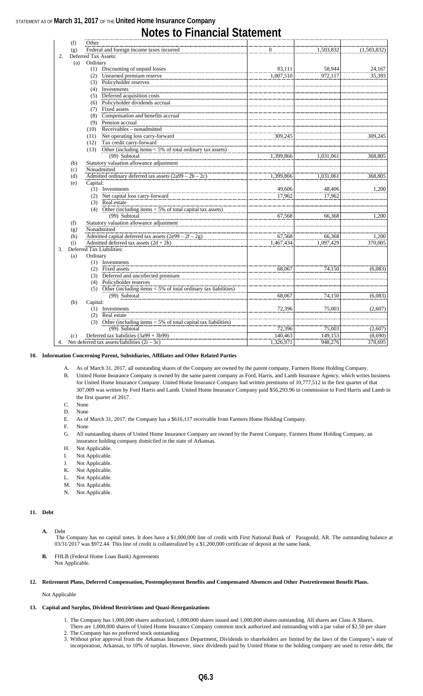### **Notes to Financial Statement**

|    | (f)                                                             | Other    |                                                                         |              |           |             |
|----|-----------------------------------------------------------------|----------|-------------------------------------------------------------------------|--------------|-----------|-------------|
|    | (g)                                                             |          | Federal and foreign income taxes incurred                               | $\mathbf{0}$ | 1,503,832 | (1,503,832) |
| 2. |                                                                 |          | Deferred Tax Assets:                                                    |              |           |             |
|    | (a)                                                             | Ordinary |                                                                         |              |           |             |
|    |                                                                 |          | (1) Discounting of unpaid losses                                        | 83.111       | 58,944    | 24,167      |
|    |                                                                 |          | (2) Unearned premium reserve                                            | 1,007,510    | 972,117   | 35,393      |
|    |                                                                 |          | (3) Policyholder reserves                                               |              |           |             |
|    |                                                                 |          | $(4)$ Investments                                                       |              |           |             |
|    |                                                                 |          | (5) Deferred acquisition costs                                          |              |           |             |
|    |                                                                 |          | (6) Policyholder dividends accrual                                      |              |           |             |
|    |                                                                 | (7)      | <b>Fixed assets</b>                                                     |              |           |             |
|    |                                                                 | (8)      | Compensation and benefits accrual                                       |              |           |             |
|    |                                                                 |          | $(9)$ Pension accrual                                                   |              |           |             |
|    |                                                                 | (10)     | Receivables – nonadmitted                                               |              |           |             |
|    |                                                                 |          | (11) Net operating loss carry-forward                                   | 309,245      |           | 309,245     |
|    |                                                                 |          | (12) Tax credit carry-forward                                           |              |           |             |
|    |                                                                 |          | (13) Other (including items $<$ 5% of total ordinary tax assets)        |              |           |             |
|    |                                                                 |          | (99) Subtotal                                                           | 1,399,866    | 1,031,061 | 368,805     |
|    | (b)                                                             |          | Statutory valuation allowance adjustment                                |              |           |             |
|    | (c)                                                             |          | Nonadmitted                                                             |              |           |             |
|    | Admitted ordinary deferred tax assets $(2a99 - 2b - 2c)$<br>(d) |          | 1,399,866                                                               | 1,031,061    | 368,805   |             |
|    | (e)                                                             | Capital: |                                                                         |              |           |             |
|    |                                                                 |          | (1) Investments                                                         | 49,606       | 48,406    | 1,200       |
|    |                                                                 |          | (2) Net capital loss carry-forward                                      | 17,962       | 17,962    |             |
|    |                                                                 |          | (3) Real estate                                                         |              |           |             |
|    |                                                                 |          | (4) Other (including items $<$ 5% of total capital tax assets)          |              |           |             |
|    |                                                                 |          | (99) Subtotal                                                           | 67,568       | 66,368    | 1,200       |
|    | (f)                                                             |          | Statutory valuation allowance adjustment                                |              |           |             |
|    | (g)                                                             |          | Nonadmitted                                                             |              |           |             |
|    | (h)                                                             |          | Admitted capital deferred tax assets $(2e99 - 2f - 2g)$                 | 67,568       | 66,368    | 1,200       |
|    | (i)                                                             |          | Admitted deferred tax assets $(2d + 2h)$                                | 1,467,434    | 1,097,429 | 370,005     |
| 3. |                                                                 |          | Deferred Tax Liabilities:                                               |              |           |             |
|    | (a)                                                             | Ordinary |                                                                         |              |           |             |
|    |                                                                 |          | (1) Investments                                                         |              |           |             |
|    |                                                                 |          | (2) Fixed assets                                                        | 68,067       | 74,150    | (6,083)     |
|    |                                                                 |          | (3) Deferred and uncollected premium                                    |              |           |             |
|    |                                                                 |          | (4) Policyholder reserves                                               |              |           |             |
|    |                                                                 |          | (5) Other (including items $\lt 5\%$ of total ordinary tax liabilities) |              |           |             |
|    |                                                                 |          | $(99)$ Subtotal                                                         | 68,067       | 74,150    | (6,083)     |
|    | (b)                                                             | Capital: |                                                                         |              |           |             |
|    |                                                                 |          | (1) Investments                                                         | 72,396       | 75,003    | (2,607)     |
|    |                                                                 |          | (2) Real estate                                                         |              |           |             |
|    |                                                                 |          | (3) Other (including items $<$ 5% of total capital tax liabilities)     |              |           |             |
|    |                                                                 |          | $(99)$ Subtotal                                                         | 72,396       | 75,003    | (2,607)     |
|    | (c)                                                             |          | Deferred tax liabilities $(3a99 + 3b99)$                                | 140,463      | 149,153   | (8,690)     |
|    |                                                                 |          | 4. Net deferred tax assets/liabilities $(2i – 3c)$                      | 1,326,971    | 948,276   | 378,695     |

#### **10. Information Concerning Parent, Subsidiaries, Affiliates and Other Related Parties**

A. As of March 31, 2017, all outstanding shares of the Company are owned by the parent company, Farmers Home Holding Company.

- B. United Home Insurance Company is owned by the same parent company as Ford, Harris, and Lamb Insurance Agency, which writes business for United Home Insurance Company. United Home Insurance Company had written premiums of 10,777,512 in the first quarter of that 307,009 was written by Ford Harris and Lamb. United Home Insurance Company paid \$56,293.96 in commission to Ford Harris and Lamb in the first quarter of 2017.
- C. None
- D. None
- E. As of March 31, 2017, the Company has a \$616,117 receivable from Farmers Home Holding Company.
- F. None
- G. All outstanding shares of United Home Insurance Company are owned by the Parent Company, Farmers Home Holding Company, an insurance holding company domiciled in the state of Arkansas.
- H. Not Applicable.
- I. Not Applicable.
- J. Not Applicable.
- K. Not Applicable.
- L. Not Applicable.
- M. Not Applicable.
- N. Not Applicable.

#### **11. Debt**

- **A.** Debt
	- The Company has no capital notes. It does have a \$1,000,000 line of credit with First National Bank of Paragould, AR. The outstanding balance at 03/31/2017 was \$972.44. This line of credit is collateralized by a \$1,200,000 certificate of deposit at the same bank.
- **B.** FHLB (Federal Home Loan Bank) Agreements Not Applicable.

#### **12. Retirement Plans, Deferred Compensation, Postemployment Benefits and Compensated Absences and Other Postretirement Benefit Plans.**

Not Applicable

#### **13. Capital and Surplus, Dividend Restrictions and Quasi-Reorganizations**

- 1. The Company has 1,000,000 shares authorized, 1,000,000 shares issued and 1,000,000 shares outstanding. All shares are Class A Shares.
- There are 1,000,000 shares of United Home Insurance Company common stock authorized and outstanding with a par value of \$2.50 per share 2. The Company has no preferred stock outstanding
- 3. Without prior approval from the Arkansas Insurance Department, Dividends to shareholders are limited by the laws of the Company's state of incorporation, Arkansas, to 10% of surplus. However, since dividends paid by United Home to the holding company are used to retire debt, the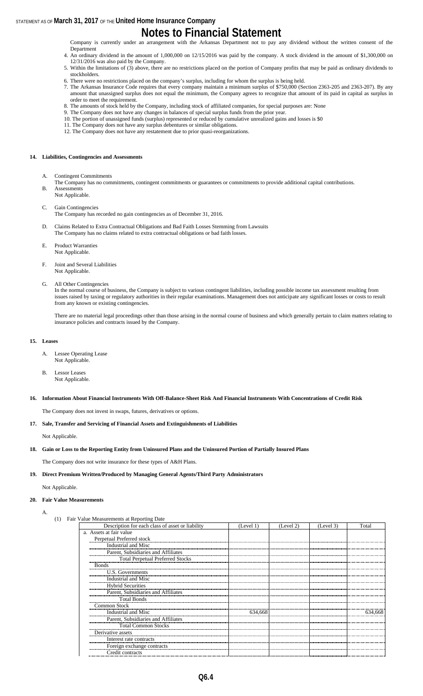### **Notes to Financial Statement**

Company is currently under an arrangement with the Arkansas Department not to pay any dividend without the written consent of the Department

- 4. An ordinary dividend in the amount of 1,000,000 on 12/15/2016 was paid by the company. A stock dividend in the amount of \$1,300,000 on 12/31/2016 was also paid by the Company.
- 5. Within the limitations of (3) above, there are no restrictions placed on the portion of Company profits that may be paid as ordinary dividends to stockholders.
- 6. There were no restrictions placed on the company's surplus, including for whom the surplus is being held.
- 7. The Arkansas Insurance Code requires that every company maintain a minimum surplus of \$750,000 (Section 2363-205 and 2363-207). By any amount that unassigned surplus does not equal the minimum, the Company agrees to recognize that amount of its paid in capital as surplus in order to meet the requirement.
- 8. The amounts of stock held by the Company, including stock of affiliated companies, for special purposes are: None
- 9. The Company does not have any changes in balances of special surplus funds from the prior year. 10. The portion of unassigned funds (surplus) represented or reduced by cumulative unrealized gains and losses is \$0
- 11. The Company does not have any surplus debentures or similar obligations.
- 12. The Company does not have any restatement due to prior quasi-reorganizations.

#### **14. Liabilities, Contingencies and Assessments**

- A. Contingent Commitments
- The Company has no commitments, contingent commitments or guarantees or commitments to provide additional capital contributions. B. Assessments
- Not Applicable.
- C. Gain Contingencies
	- The Company has recorded no gain contingencies as of December 31, 2016.
- D. Claims Related to Extra Contractual Obligations and Bad Faith Losses Stemming from Lawsuits The Company has no claims related to extra contractual obligations or bad faith losses.
- E. Product Warranties Not Applicable.
- F. Joint and Several Liabilities Not Applicable.
- G. All Other Contingencies

In the normal course of business, the Company is subject to various contingent liabilities, including possible income tax assessment resulting from issues raised by taxing or regulatory authorities in their regular examinations. Management does not anticipate any significant losses or costs to result from any known or existing contingencies.

There are no material legal proceedings other than those arising in the normal course of business and which generally pertain to claim matters relating to insurance policies and contracts issued by the Company.

#### **15. Leases**

- A. Lessee Operating Lease Not Applicable.
- B. Lessor Leases Not Applicable.

#### **16. Information About Financial Instruments With Off-Balance-Sheet Risk And Financial Instruments With Concentrations of Credit Risk**

The Company does not invest in swaps, futures, derivatives or options.

#### **17. Sale, Transfer and Servicing of Financial Assets and Extinguishments of Liabilities**

Not Applicable.

**18. Gain or Loss to the Reporting Entity from Uninsured Plans and the Uninsured Portion of Partially Insured Plans**

The Company does not write insurance for these types of A&H Plans.

#### **19. Direct Premium Written/Produced by Managing General Agents/Third Party Administrators**

Not Applicable.

#### **20. Fair Value Measurements**

A.

| (1) | Fair Value Measurements at Reporting Date |
|-----|-------------------------------------------|
|     |                                           |

| Description for each class of asset or liability | (Level 1) | (Level 2) | (Level 3) | Total   |
|--------------------------------------------------|-----------|-----------|-----------|---------|
| a. Assets at fair value                          |           |           |           |         |
| Perpetual Preferred stock                        |           |           |           |         |
| Industrial and Misc                              |           |           |           |         |
| Parent, Subsidiaries and Affiliates              |           |           |           |         |
| <b>Total Perpetual Preferred Stocks</b>          |           |           |           |         |
| <b>Bonds</b>                                     |           |           |           |         |
| U.S. Governments                                 |           |           |           |         |
| Industrial and Misc                              |           |           |           |         |
| <b>Hybrid Securities</b>                         |           |           |           |         |
| Parent, Subsidiaries and Affiliates              |           |           |           |         |
| <b>Total Bonds</b>                               |           |           |           |         |
| Common Stock                                     |           |           |           |         |
| Industrial and Misc                              | 634,668   |           |           | 634.668 |
| Parent, Subsidiaries and Affiliates              |           |           |           |         |
| <b>Total Common Stocks</b>                       |           |           |           |         |
| Derivative assets                                |           |           |           |         |
| Interest rate contracts                          |           |           |           |         |
| Foreign exchange contracts                       |           |           |           |         |
| Credit contracts                                 |           |           |           |         |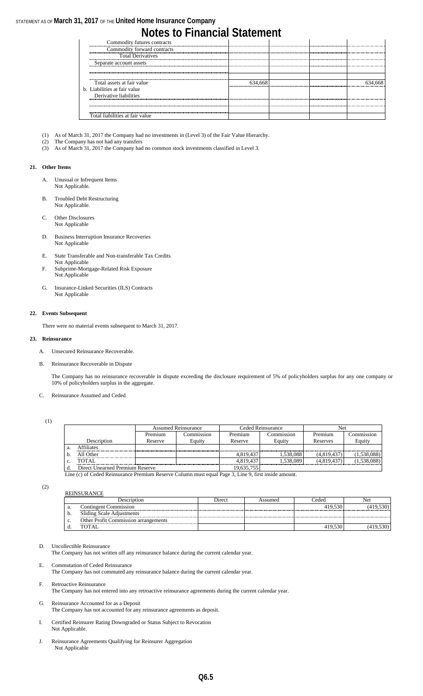### **Notes to Financial Statement**

| Commodity futures contracts     |  |  |
|---------------------------------|--|--|
| Commodity forward contracts     |  |  |
| <b>Total Derivatives</b>        |  |  |
| Separate account assets         |  |  |
|                                 |  |  |
|                                 |  |  |
| Total assets at fair value      |  |  |
| b. Liabilities at fair value    |  |  |
| Derivative liabilities          |  |  |
|                                 |  |  |
|                                 |  |  |
| Total liabilities at fair value |  |  |

- (1) As of March 31, 2017 the Company had no investments in (Level 3) of the Fair Value Hierarchy.
- The Company has not had any transfers
- (3) As of March 31, 2017 the Company had no common stock investments classified in Level 3.

#### **21. Other Items**

- A. Unusual or Infrequent Items Not Applicable.
- B. Troubled Debt Restructuring Not Applicable.
- C. Other Disclosures Not Applicable
- D. Business Interruption Insurance Recoveries Not Applicable
- E. State Transferable and Non-transferable Tax Credits Not Applicable
- F. Subprime-Mortgage-Related Risk Exposure Not Applicable
- G. Insurance-Linked Securities (ILS) Contracts Not Applicable

#### **22. Events Subsequent**

There were no material events subsequent to March 31, 2017.

#### **23. Reinsurance**

- A. Unsecured Reinsurance Recoverable.
- B. Reinsurance Recoverable in Dispute

The Company has no reinsurance recoverable in dispute exceeding the disclosure requirement of 5% of policyholders surplus for any one company or 10% of policyholders surplus in the aggregate.

#### C. Reinsurance Assumed and Ceded

(1)

|    |                                 | <b>Assumed Reinsurance</b> |            | Ceded Reinsurance |            | Net         |             |
|----|---------------------------------|----------------------------|------------|-------------------|------------|-------------|-------------|
|    |                                 | Premium                    | Commission | Premium           | Commission | Premium     | Commission  |
|    | Description                     | Reserve                    | Equity     | Reserve           | Equity     | Reserves    | Equity      |
| a. | <b>Affiliates</b>               |                            |            |                   |            |             |             |
| b. | All Other                       |                            |            | 4.819.437         | 1,538,088  | (4,819,437) | (1,538,088) |
| c. | TOTAL.                          |                            |            | 4.819.437         | .538.089   | (4,819,437) | (1,538,088) |
|    | Direct Unearned Premium Reserve |                            |            | 19,635,755        |            |             |             |

Line (c) of Ceded Reinsurance Premium Reserve Column must equal Page 3, Line 9, first inside amount.

(2)

|    | <b>Description</b>                          | Direct | Assumed | Ceded   | Net      |
|----|---------------------------------------------|--------|---------|---------|----------|
| a. | Contingent Commission                       |        |         | 419.530 | 419.530) |
| D. | <b>Sliding Scale Adjustments</b>            |        |         |         |          |
| c. | <b>Other Profit Commission arrangements</b> |        |         |         |          |
|    | TOTAL                                       |        |         | 419.530 |          |
|    |                                             |        |         |         |          |

D. Uncollectible Reinsurance

The Company has not written off any reinsurance balance during the current calendar year.

E. Commutation of Ceded Reinsurance

REINSURANCE

The Company has not commuted any reinsurance balance during the current calendar year.

- F. Retroactive Reinsurance The Company has not entered into any retroactive reinsurance agreements during the current calendar year.
- G. Reinsurance Accounted for as a Deposit The Company has not accounted for any reinsurance agreements as deposit.
- I. Certified Reinsurer Rating Downgraded or Status Subject to Revocation Not Applicable.
- J. Reinsurance Agreements Qualifying for Reinsurer Aggregation Not Applicable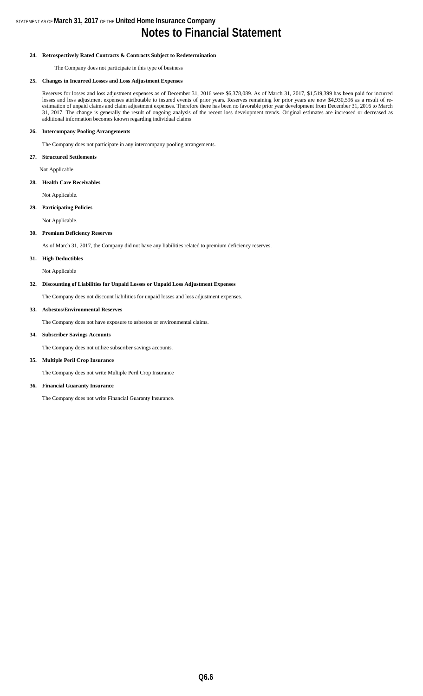### **Notes to Financial Statement**

#### **24. Retrospectively Rated Contracts & Contracts Subject to Redetermination**

The Company does not participate in this type of business

#### **25. Changes in Incurred Losses and Loss Adjustment Expenses**

Reserves for losses and loss adjustment expenses as of December 31, 2016 were \$6,378,089. As of March 31, 2017, \$1,519,399 has been paid for incurred losses and loss adjustment expenses attributable to insured events of prior years. Reserves remaining for prior years are now \$4,930,596 as a result of reestimation of unpaid claims and claim adjustment expenses. Therefore there has been no favorable prior year development from December 31, 2016 to March 31, 2017. The change is generally the result of ongoing analysis of the recent loss development trends. Original estimates are increased or decreased as additional information becomes known regarding individual claims

#### **26. Intercompany Pooling Arrangements**

The Company does not participate in any intercompany pooling arrangements.

#### **27. Structured Settlements**

Not Applicable.

#### **28. Health Care Receivables**

Not Applicable.

#### **29. Participating Policies**

Not Applicable.

#### **30. Premium Deficiency Reserves**

As of March 31, 2017, the Company did not have any liabilities related to premium deficiency reserves.

#### **31. High Deductibles**

Not Applicable

#### **32. Discounting of Liabilities for Unpaid Losses or Unpaid Loss Adjustment Expenses**

The Company does not discount liabilities for unpaid losses and loss adjustment expenses.

#### **33. Asbestos/Environmental Reserves**

The Company does not have exposure to asbestos or environmental claims.

#### **34. Subscriber Savings Accounts**

The Company does not utilize subscriber savings accounts.

#### **35. Multiple Peril Crop Insurance**

The Company does not write Multiple Peril Crop Insurance

#### **36. Financial Guaranty Insurance**

The Company does not write Financial Guaranty Insurance.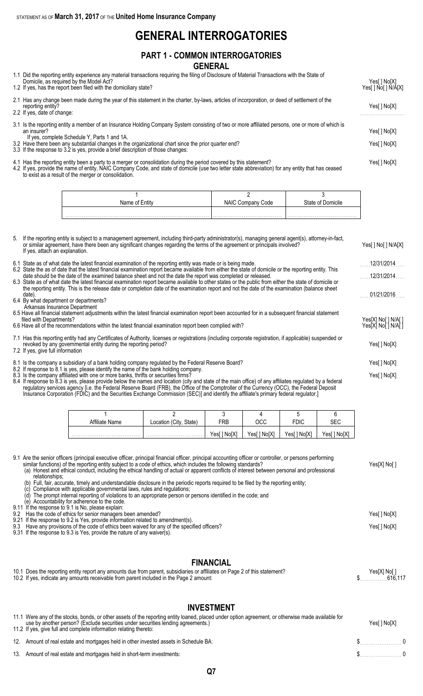### **GENERAL INTERROGATORIES**

#### **PART 1 - COMMON INTERROGATORIES GENERAL**

| 1.1 Did the reporting entity experience any material transactions requiring the filing of Disclosure of Material Transactions with the State of<br>Domicile, as required by the Model Act?                       | Yes[ ] No[X]        |
|------------------------------------------------------------------------------------------------------------------------------------------------------------------------------------------------------------------|---------------------|
| 1.2 If yes, has the report been filed with the domiciliary state?                                                                                                                                                | Yes[ ] No[ ] N/A[X] |
| 2.1 Has any change been made during the year of this statement in the charter, by-laws, articles of incorporation, or deed of settlement of the<br>reporting entity?                                             | Yes[ ] No[X]        |
| 2.2 If yes, date of change:                                                                                                                                                                                      |                     |
| 3.1 Is the reporting entity a member of an Insurance Holding Company System consisting of two or more affiliated persons, one or more of which is<br>an insurer?<br>If yes, complete Schedule Y, Parts 1 and 1A. | Yes[ ] No[X]        |
| 3.2 Have there been any substantial changes in the organizational chart since the prior quarter end?<br>3.3 If the response to 3.2 is yes, provide a brief description of those changes:                         | Yes[ ] No[X]        |
| 4.1 Has the reporting entity been a party to a merger or consolidation during the period covered by this statement?                                                                                              |                     |

4.2 If yes, provide the name of entity, NAIC Company Code, and state of domicile (use two letter state abbreviation) for any entity that has ceased to exist as a result of the merger or consolidation.

| Name of | Code<br>Company | State of Domicile |
|---------|-----------------|-------------------|
|         |                 |                   |
|         |                 |                   |

| 5. | If the reporting entity is subject to a management agreement, including third-party administrator(s), managing general agent(s), attorney-in-fact,<br>or similar agreement, have there been any significant changes regarding the terms of the agreement or principals involved?<br>If yes, attach an explanation.                                                                                                                                                                  | Yes[ ] No[ ] N/A[X]                        |
|----|-------------------------------------------------------------------------------------------------------------------------------------------------------------------------------------------------------------------------------------------------------------------------------------------------------------------------------------------------------------------------------------------------------------------------------------------------------------------------------------|--------------------------------------------|
|    | 6.1 State as of what date the latest financial examination of the reporting entity was made or is being made.                                                                                                                                                                                                                                                                                                                                                                       | 12/31/2014                                 |
|    | 6.2 State the as of date that the latest financial examination report became available from either the state of domicile or the reporting entity. This<br>date should be the date of the examined balance sheet and not the date the report was completed or released.                                                                                                                                                                                                              | 12/31/2014                                 |
|    | 6.3 State as of what date the latest financial examination report became available to other states or the public from either the state of domicile or<br>the reporting entity. This is the release date or completion date of the examination report and not the date of the examination (balance sheet<br>date).<br>6.4 By what department or departments?                                                                                                                         | 01/21/2016                                 |
|    | Arkansas Insurance Department<br>6.5 Have all financial statement adjustments within the latest financial examination report been accounted for in a subsequent financial statement<br>filed with Departments?<br>6.6 Have all of the recommendations within the latest financial examination report been complied with?                                                                                                                                                            | Yes[X] No[ ] N/A[ ]<br>Yes[X] No[ ] N/A[ ] |
|    | 7.1 Has this reporting entity had any Certificates of Authority, licenses or registrations (including corporate registration, if applicable) suspended or<br>revoked by any governmental entity during the reporting period?<br>7.2 If yes, give full information                                                                                                                                                                                                                   |                                            |
|    | 8.1 Is the company a subsidiary of a bank holding company regulated by the Federal Reserve Board?                                                                                                                                                                                                                                                                                                                                                                                   | Yes[ ] No[X]                               |
|    | 8.2 If response to 8.1 is yes, please identify the name of the bank holding company.<br>8.3 Is the company affiliated with one or more banks, thrifts or securities firms?<br>8.4 If response to 8.3 is yes, please provide below the names and location (city and state of the main office) of any affiliates regulated by a federal<br>requilatory services agency lie, the Federal Reserve Board (FRB), the Office of the Comptroller of the Currency (OCC), the Federal Deposit | Yes[] No[X]                                |

regulatory services agency [i.e. the Federal Reserve Board (FRB), the Office of the Comptroller of the Currency (OCC), the Federal Deposit Insurance Corporation (FDIC) and the Securities Exchange Commission (SEC)] and identify the affiliate's primary federal regulator.]

| Affiliate Name | (City,<br>State)<br>Location | ∓RΒ         | осс         | <b>FDIC</b> |             |
|----------------|------------------------------|-------------|-------------|-------------|-------------|
|                | .                            | Yes[] No[X] | Yes[] No[X] | Yes[] No[X] | Yes[] No[X] |

| 9.1 Are the senior officers (principal executive officer, principal financial officer, principal accounting officer or controller, or persons performing<br>similar functions) of the reporting entity subject to a code of ethics, which includes the following standards?<br>(a) Honest and ethical conduct, including the ethical handling of actual or apparent conflicts of interest between personal and professional<br>relationships: | Yes[X] No[ ] |
|-----------------------------------------------------------------------------------------------------------------------------------------------------------------------------------------------------------------------------------------------------------------------------------------------------------------------------------------------------------------------------------------------------------------------------------------------|--------------|
| (b) Full, fair, accurate, timely and understandable disclosure in the periodic reports required to be filed by the reporting entity;<br>Compliance with applicable governmental laws, rules and regulations;<br>The prompt internal reporting of violations to an appropriate person or persons identified in the code; and<br>(e) Accountability for adherence to the code.                                                                  |              |
| 9.11 If the response to 9.1 is No, please explain:                                                                                                                                                                                                                                                                                                                                                                                            |              |
| 9.2 Has the code of ethics for senior managers been amended?<br>9.21 If the response to 9.2 is Yes, provide information related to amendment(s).                                                                                                                                                                                                                                                                                              |              |
| 9.3 Have any provisions of the code of ethics been waived for any of the specified officers?<br>9.31 If the response to 9.3 is Yes, provide the nature of any waiver(s).                                                                                                                                                                                                                                                                      | Yes[ ] No[X] |

### **FINANCIAL**

| 10.1 Does the reporting entity report any amounts due from parent, subsidiaries or affiliates on Page 2 of this statement? | Yes[X] No[ ]<br>616,11 <i>،</i> |
|----------------------------------------------------------------------------------------------------------------------------|---------------------------------|
| 10.2 If yes, indicate any amounts receivable from parent included in the Page 2 amount:                                    |                                 |

### **INVESTMENT**

| <b>INVESIMENI</b><br>11.1 Were any of the stocks, bonds, or other assets of the reporting entity loaned, placed under option agreement, or otherwise made available for<br>use by another person? (Exclude securities under securities lending agreements.)<br>11.2 If yes, give full and complete information relating thereto: | Yes[] No[X] |  |
|----------------------------------------------------------------------------------------------------------------------------------------------------------------------------------------------------------------------------------------------------------------------------------------------------------------------------------|-------------|--|
| 12. Amount of real estate and mortgages held in other invested assets in Schedule BA:                                                                                                                                                                                                                                            | $\sim$ 0    |  |
| 13. Amount of real estate and mortgages held in short-term investments:                                                                                                                                                                                                                                                          | $\sim$ 0    |  |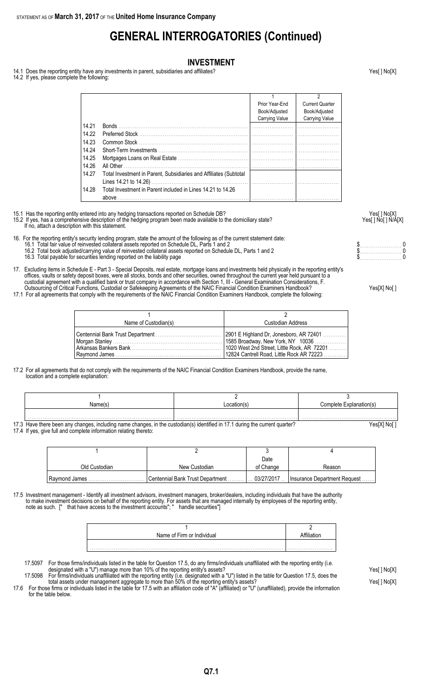### **GENERAL INTERROGATORIES (Continued)**

#### **INVESTMENT**

14.1 Does the reporting entity have any investments in parent, subsidiaries and affiliates?<br>
14.1 Does the reporting entity have any investments in parent, subsidiaries and affiliates?

14.2 If yes, please complete the following:

| <b>Bonds Bonds</b> | Prior Year-End<br>Book/Adjusted<br>Carrying Value                                                                                | <b>Current Quarter</b><br>Book/Adjusted<br>Carrying Value |
|--------------------|----------------------------------------------------------------------------------------------------------------------------------|-----------------------------------------------------------|
|                    |                                                                                                                                  |                                                           |
|                    |                                                                                                                                  |                                                           |
|                    |                                                                                                                                  |                                                           |
|                    |                                                                                                                                  |                                                           |
|                    |                                                                                                                                  |                                                           |
|                    |                                                                                                                                  |                                                           |
|                    |                                                                                                                                  |                                                           |
|                    |                                                                                                                                  |                                                           |
|                    |                                                                                                                                  |                                                           |
|                    |                                                                                                                                  |                                                           |
|                    |                                                                                                                                  |                                                           |
|                    |                                                                                                                                  |                                                           |
|                    |                                                                                                                                  |                                                           |
|                    | Total Investment in Parent, Subsidiaries and Affiliates (Subtotal<br>Total Investment in Parent included in Lines 14.21 to 14.26 |                                                           |

15.1 Has the reporting entity entered into any hedging transactions reported on Schedule DB? Yes[ ] No[X]

15.2 If yes, has a comprehensive description of the hedging program been made available to the domiciliary state? Yesel 1 No [ ] No [ ] N/A[X] If no, attach a description with this statement.

16. For the reporting entity's security lending program, state the amount of the following as of the current statement date:

- 16.1 Total fair value of reinvested collateral assets reported on Schedule DL, Parts 1 and 2 **but a set a set a set a** set a set a set a set a protect on Schedule DL, Parts 1 and 2 **but a set a set a set a set a set a set**
- 16.2 Total book adjusted/carrying value of reinvested collateral assets reported on Schedule DL, Parts 1 and 2 \$. . . . . . . . . . . . . . . . . . . . . . . 0
- 16.3 Total payable for securities lending reported on the liability page the state of the state of the state of the state of the state of the state of the state of the state of the state of the state of the state of the st
- 17. Excluding items in Schedule E Part 3 Special Deposits, real estate, mortgage loans and investments held physically in the reporting entity's offices, vaults or safety deposit boxes, were all stocks, bonds and other securities, owned throughout the current year held pursuant to a custodial agreement with a qualified bank or trust company in accordance with Section 1, III - General Examination Considerations, F. Outsourcing of Critical Functions, Custodial or Safekeeping Agreements of the NAIC Financial Condition Examiners Handbook? Yes[X] No[ ]
- 17.1 For all agreements that comply with the requirements of the NAIC Financial Condition Examiners Handbook, complete the following:

| Name of Custodian(s) | Custodian Address |
|----------------------|-------------------|
|                      |                   |

17.2 For all agreements that do not comply with the requirements of the NAIC Financial Condition Examiners Handbook, provide the name, location and a complete explanation:

|         | Name(s)                                                                                                                      | _ocation(s) | Complete Explanation(s) |
|---------|------------------------------------------------------------------------------------------------------------------------------|-------------|-------------------------|
|         |                                                                                                                              |             |                         |
|         |                                                                                                                              |             |                         |
| $1 - 1$ | 17.3 Have there been any changes, including name changes, in the custodian(s) identified in 17.1 during the current quarter? | ′es[X] No[  |                         |

17.4 If yes, give full and complete information relating thereto:

|               |                                  | Date       |                               |
|---------------|----------------------------------|------------|-------------------------------|
| Old Custodian | New Custodian                    | of Change  | Reason                        |
| Ravmond James | Centennial Bank Trust Department | 03/27/2017 | Insurance Department Request. |

17.5 Investment management - Identify all investment advisors, investment managers, broker/dealers, including individuals that have the authority to make investment decisions on behalf of the reporting entity. For assets that are managed internally by employees of the reporting entity, note as such. [" that have access to the investment accounts"; " handle securities"]

| Name of Firm or Individual |  |
|----------------------------|--|
|                            |  |
|                            |  |

17.5097 For those firms/individuals listed in the table for Question 17.5, do any firms/individuals unaffiliated with the reporting entity (i.e. designated with a "U") manage more than 10% of the reporting entity's assets? Yes[ ] No[X]

17.5098 For firms/individuals unaffiliated with the reporting entity (i.e. designated with a "U") listed in the table for Question 17.5, does the total assets under management aggregate to more than 50% of the reporting entity's assets? Yese and the reporting than the reporting entity's assets?

17.6 For those firms or individuals listed in the table for 17.5 with an affiliation code of "A" (affiliated) or "U" (unaffiliated), provide the information for the table below.

|  | . |  |  |  |   |  |  |  | . |  |     |  |
|--|---|--|--|--|---|--|--|--|---|--|-----|--|
|  | . |  |  |  | . |  |  |  |   |  | . . |  |
|  |   |  |  |  |   |  |  |  |   |  |     |  |

| Yes[X] No[ ] |  |  |
|--------------|--|--|
|--------------|--|--|

**Q7.1**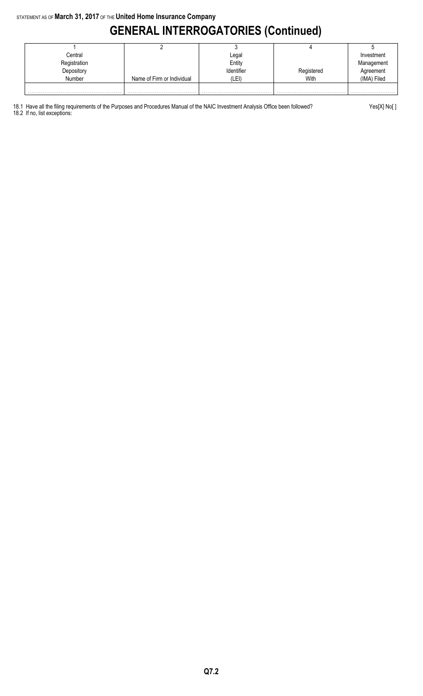## **GENERAL INTERROGATORIES (Continued)**

| Central       |                            | Legal      |            | Investment  |
|---------------|----------------------------|------------|------------|-------------|
| Registration  |                            | Entity     |            | Management  |
| Depository    |                            | Identifier | Registered | Agreement   |
| <b>Number</b> | Name of Firm or Individual | (LEI)      | With       | (IMA) Filed |
|               |                            |            |            |             |

18.1 Have all the filing requirements of the Purposes and Procedures Manual of the NAIC Investment Analysis Office been followed? Yes[X] No[ ] 18.2 If no, list exceptions: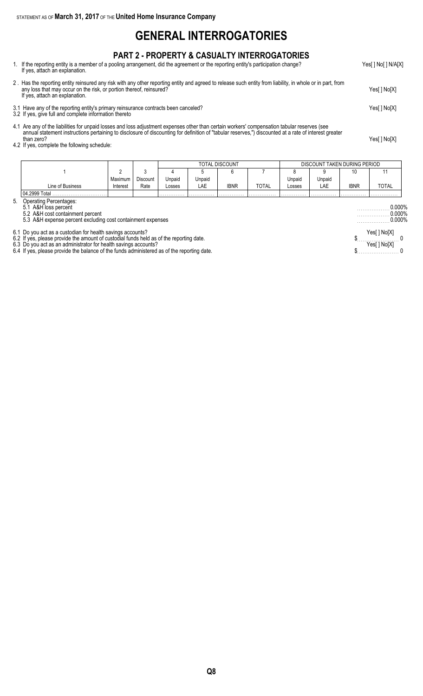### **GENERAL INTERROGATORIES**

### **PART 2 - PROPERTY & CASUALTY INTERROGATORIES**

1. If the reporting entity is a member of a pooling arrangement, did the agreement or the reporting entity's participation change? Yes[ ] No[ ] N/A[X] If yes, attach an explanation.

2 . Has the reporting entity reinsured any risk with any other reporting entity and agreed to release such entity from liability, in whole or in part, from any loss that may occur on the risk, or portion thereof, reinsured? Yes[ ] No[X] If yes, attach an explanation. 3.1 Have any of the reporting entity's primary reinsurance contracts been canceled? Yes[ ] No[X]

- 3.2 If yes, give full and complete information thereto
- 4.1 Are any of the liabilities for unpaid losses and loss adjustment expenses other than certain workers' compensation tabular reserves (see annual statement instructions pertaining to disclosure of discounting for definition of "tabular reserves,") discounted at a rate of interest greater than zero? Yes[ ] No[X]
- than zero?<br>4.2 If yes, complete the following schedule:

|                  |          |                 |        |        | TOTAL DISCOUNT |              |        |        | DISCOUNT TAKEN DURING PERIOD |              |
|------------------|----------|-----------------|--------|--------|----------------|--------------|--------|--------|------------------------------|--------------|
|                  |          |                 |        |        |                |              |        |        | 10                           |              |
|                  | Maximum  | <b>Discount</b> | Unpaid | Unpaid |                |              | Jnpaid | Unpaid |                              |              |
| Line of Business | Interest | Rate            | Losses | LAE    | <b>IBNR</b>    | <b>TOTAL</b> | LOSSES | LAE    | ibnr                         | <b>TOTAL</b> |
| l 04.2999 Total  |          |                 | .      | .      | .              | .            | .      | .      | .                            | .            |

5. Operating Percentages:

5.1 A&H loss percent . . . . . . . . . . . . . . . . . . 0.000%

5.2 A&H cost containment percent . . . . . . . . . . . . . . . . . . 0.000% 5.3 A&H expense percent excluding cost containment expenses . . . . . . . . . . . . . . . . . . 0.000%

6.1 Do you act as a custodian for health savings accounts? Yes[ ] No[X]

6.2 If yes, please provide the amount of custodial funds held as of the reporting date. \$. . . . . . . . . . . . . . . . . . . . . . . 0

6.3 Do you act as an administrator for health savings accounts? Yes[ ] No[X]

6.4 If yes, please provide the balance of the funds administered as of the reporting date.  $\$\dots 0$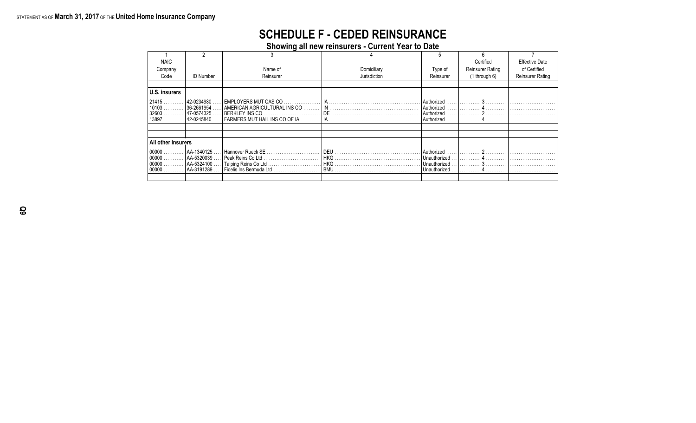### **SCHEDULE F - CEDED REINSURANCE**

**Showing all new reinsurers - Current Year to Date**

| <b>NAIC</b>                                |                                                                   |                                                           |              |                                                              | Certified        | <b>Effective Date</b>   |
|--------------------------------------------|-------------------------------------------------------------------|-----------------------------------------------------------|--------------|--------------------------------------------------------------|------------------|-------------------------|
| Company                                    |                                                                   | Name of                                                   | Domiciliary  | Type of                                                      | Reinsurer Rating | of Certified            |
| Code                                       | <b>ID Number</b>                                                  | Reinsurer                                                 | Jurisdiction | Reinsurer                                                    | $(1$ through 6)  | <b>Reinsurer Rating</b> |
|                                            |                                                                   |                                                           |              |                                                              |                  |                         |
| U.S. insurers                              |                                                                   |                                                           |              |                                                              |                  |                         |
| $121415$<br>$10103$<br>32603<br>.<br>13897 | . 42-0234980 ا<br>$ 36 - 2661954 $<br>  47-0574325.<br>42-0245840 | FARMERS MUT HAIL INS CO OF IA …………   IA …………………………………………… |              | l Authorized<br>Authorized<br>Authorized                     | Authorized     3 |                         |
|                                            |                                                                   |                                                           |              |                                                              |                  |                         |
|                                            |                                                                   |                                                           |              |                                                              |                  |                         |
| All other insurers                         |                                                                   |                                                           |              |                                                              |                  |                         |
| 00000<br>00000<br>$00000$<br>00000         | l AA-1340125 .<br>AA-5320039<br>AA-5324100<br>  AA-3191289        | Fidelis Ins Bermuda Ltd                                   |              | Authorized<br>Unauthorized<br>l Unauthorized<br>Unauthorized |                  |                         |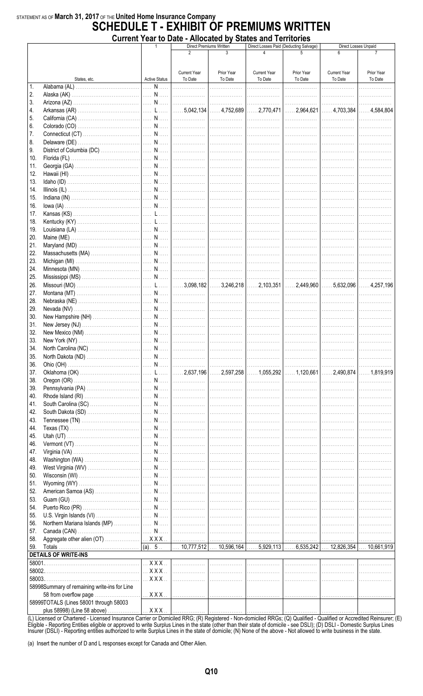### STATEMENT AS OF March 31, 2017 OF THE United Home Insurance Company **SCHEDULE T - EXHIBIT OF PREMIUMS WRITTEN** Current Year to Date - Allocated by States and Territories

|        |                                              |                                                    |                                | <b>Direct Premiums Written</b> | <b>UNITED LOAD TO DATE - ANOGATED BY ORIGO AND LOTINGITIES</b> | Direct Losses Paid (Deducting Salvage) |                                | Direct Losses Unpaid  |
|--------|----------------------------------------------|----------------------------------------------------|--------------------------------|--------------------------------|----------------------------------------------------------------|----------------------------------------|--------------------------------|-----------------------|
|        |                                              |                                                    | $\mathfrak{p}$                 | $\mathbf{3}$                   |                                                                |                                        |                                |                       |
|        |                                              |                                                    |                                |                                |                                                                |                                        |                                |                       |
|        |                                              |                                                    |                                |                                |                                                                |                                        |                                |                       |
|        | States, etc.                                 | <b>Active Status</b>                               | <b>Current Year</b><br>To Date | Prior Year<br>To Date          | <b>Current Year</b><br>To Date                                 | Prior Year<br>To Date                  | <b>Current Year</b><br>To Date | Prior Year<br>To Date |
| 1.     |                                              |                                                    |                                |                                |                                                                | .                                      | .                              | .                     |
| 2.     |                                              |                                                    |                                |                                |                                                                |                                        | .                              | .                     |
| 3.     |                                              |                                                    |                                |                                |                                                                |                                        | .                              | .                     |
| 4.     |                                              |                                                    |                                |                                |                                                                |                                        |                                |                       |
|        |                                              |                                                    |                                |                                |                                                                |                                        |                                |                       |
| 5.     |                                              |                                                    |                                |                                |                                                                |                                        |                                |                       |
| 6.     |                                              |                                                    |                                |                                |                                                                | .                                      | .                              | .                     |
| 7.     |                                              |                                                    |                                |                                |                                                                |                                        |                                |                       |
| 8.     |                                              |                                                    |                                |                                |                                                                |                                        | .                              | .                     |
| 9.     |                                              |                                                    |                                |                                |                                                                |                                        |                                | .                     |
| 10.    |                                              |                                                    |                                |                                |                                                                |                                        |                                | .                     |
| 11.    |                                              |                                                    |                                |                                |                                                                |                                        |                                |                       |
| 12.    |                                              |                                                    |                                |                                |                                                                |                                        |                                |                       |
| 13.    |                                              |                                                    |                                |                                |                                                                |                                        |                                |                       |
| 14.    |                                              |                                                    |                                |                                |                                                                |                                        | .                              | .                     |
| 15.    |                                              |                                                    |                                |                                |                                                                | .                                      | .                              | .                     |
| 16.    |                                              |                                                    |                                | .                              | .                                                              | .                                      | . <b>.</b> .                   | .                     |
| 17.    |                                              |                                                    |                                | . 1                            | .                                                              | .                                      | .                              |                       |
| 18.    |                                              |                                                    |                                |                                |                                                                | .                                      |                                |                       |
|        |                                              |                                                    |                                |                                |                                                                |                                        | .                              |                       |
| 19.    |                                              |                                                    |                                |                                |                                                                | .                                      |                                | .                     |
| 20.    |                                              |                                                    |                                |                                |                                                                | .                                      | .                              | .                     |
| 21.    |                                              |                                                    |                                |                                |                                                                |                                        |                                | .                     |
| 22.    |                                              |                                                    |                                |                                |                                                                |                                        |                                |                       |
| 23.    |                                              |                                                    |                                |                                |                                                                |                                        |                                |                       |
| 24.    |                                              |                                                    |                                |                                |                                                                |                                        |                                |                       |
| 25.    |                                              |                                                    |                                |                                |                                                                |                                        |                                |                       |
| 26.    |                                              |                                                    |                                |                                |                                                                |                                        |                                |                       |
| 27.    |                                              |                                                    |                                |                                |                                                                |                                        |                                | .                     |
| 28.    |                                              |                                                    |                                |                                |                                                                |                                        | .                              | .                     |
| 29.    |                                              |                                                    |                                |                                |                                                                | .                                      | .                              |                       |
|        |                                              |                                                    |                                |                                |                                                                |                                        |                                |                       |
| 30.    |                                              |                                                    |                                |                                |                                                                | .                                      | .                              | . <b>.</b> .          |
| 31.    |                                              |                                                    |                                |                                |                                                                |                                        | .                              | .                     |
| 32.    |                                              |                                                    |                                |                                |                                                                | .                                      | .                              | .                     |
| 33.    |                                              |                                                    |                                |                                |                                                                |                                        | .                              | .                     |
| 34.    |                                              |                                                    |                                |                                |                                                                |                                        |                                |                       |
| 35.    |                                              |                                                    |                                |                                |                                                                |                                        |                                |                       |
| 36.    |                                              |                                                    |                                |                                |                                                                |                                        | .                              |                       |
| 37.    |                                              |                                                    |                                |                                |                                                                |                                        |                                | $\ldots$ . 1,819,919  |
| 38.    |                                              |                                                    |                                |                                |                                                                |                                        | .                              | .                     |
| 39.    |                                              |                                                    |                                | .                              |                                                                | .                                      | .                              |                       |
| 40.    |                                              |                                                    |                                |                                |                                                                | .                                      | .                              |                       |
| 41.    |                                              |                                                    |                                |                                |                                                                | .                                      | .                              |                       |
|        |                                              |                                                    |                                |                                |                                                                | .                                      |                                |                       |
| 42.    |                                              |                                                    |                                |                                |                                                                |                                        | .                              |                       |
| 43.    |                                              |                                                    |                                |                                |                                                                | .                                      |                                |                       |
| 44.    |                                              |                                                    |                                |                                |                                                                | .                                      | .                              | .                     |
| 45.    |                                              |                                                    |                                |                                |                                                                | .                                      | .                              | .                     |
| 46.    |                                              |                                                    |                                |                                |                                                                | .                                      | .                              | .                     |
| 47.    |                                              |                                                    |                                |                                |                                                                |                                        | .                              |                       |
| 48.    |                                              |                                                    |                                |                                |                                                                |                                        | .                              | .                     |
| 49.    |                                              |                                                    |                                |                                |                                                                | .                                      | .                              | .                     |
| 50.    |                                              |                                                    | .                              |                                |                                                                | .                                      | .                              |                       |
| 51.    |                                              |                                                    | .                              | .                              | .                                                              | .                                      | .                              |                       |
| 52.    |                                              |                                                    |                                | .                              | .                                                              | .                                      | .                              |                       |
| 53.    |                                              |                                                    |                                | .                              | .                                                              | .                                      | .                              |                       |
| 54.    |                                              |                                                    |                                |                                | .                                                              | .                                      | .                              |                       |
|        |                                              |                                                    |                                |                                | .                                                              | .                                      |                                |                       |
| 55.    |                                              |                                                    |                                |                                |                                                                |                                        | . <b>.</b> .                   |                       |
| 56.    |                                              |                                                    |                                |                                |                                                                | .                                      | .                              |                       |
| 57.    |                                              |                                                    |                                |                                |                                                                | <br>                                   | .                              | .                     |
| 58.    |                                              |                                                    |                                |                                |                                                                |                                        | .                              |                       |
| 59.    |                                              |                                                    |                                |                                |                                                                |                                        |                                |                       |
|        | <b>DETAILS OF WRITE-INS</b>                  |                                                    |                                |                                |                                                                |                                        |                                |                       |
|        |                                              | $\overline{\mathbb{R} \times X \times \mathbb{R}}$ | .                              | .                              | .                                                              | .                                      | .                              |                       |
|        |                                              | $\ldots$ X X X $\ldots$                            | .                              | .                              | .                                                              | .                                      | .                              |                       |
| 58003. |                                              | $\ldots$ X X X $\ldots$                            | .                              | .                              | .                                                              | .                                      | .                              |                       |
|        | 58998Summary of remaining write-ins for Line |                                                    |                                |                                |                                                                |                                        |                                |                       |
|        | 58 from overflow page                        | $\ldots$ X X X $\ldots$                            | . 1                            |                                |                                                                | .                                      | .                              |                       |
|        | 58999TOTALS (Lines 58001 through 58003       |                                                    |                                |                                |                                                                |                                        |                                |                       |
|        | plus 58998) (Line 58 above)                  | $\ldots$ $XXX$ $\ldots$                            | . 1                            |                                |                                                                | .                                      |                                |                       |
|        |                                              |                                                    |                                |                                |                                                                |                                        | .                              |                       |

(L) Licensed or Chartered - Licensed Insurance Carrier or Domiciled RRG; (R) Registered - Non-domiciled RRGs; (Q) Qualified - Qualified or Accredited Reinsurer; (E)<br>Eligible - Reporting Entities eligible or approved to wri

(a) Insert the number of D and L responses except for Canada and Other Alien.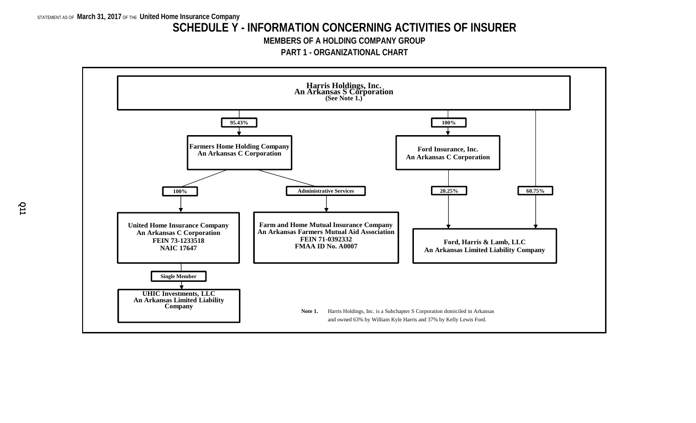### **SCHEDULE Y - INFORMATION CONCERNING ACTIVITIES OF INSURER**

**MEMBERS OF A HOLDING COMPANY GROUP**

**PART 1 - ORGANIZATIONAL CHART**

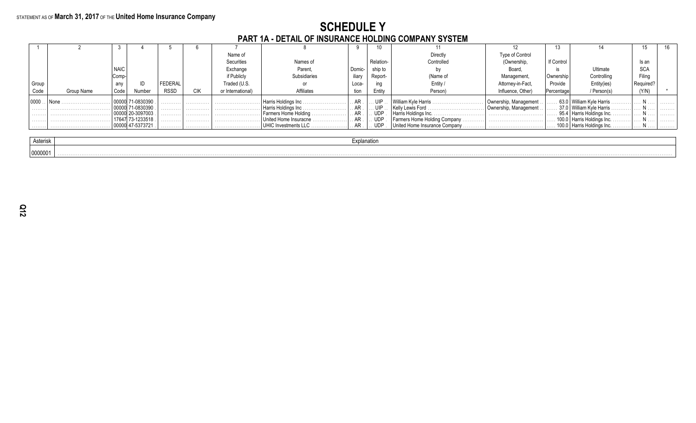# **SCHEDULE Y<br>PART 1A - DETAIL OF INSURANCE HOLDING COMPANY SYSTEM**

|       |            |             |            |         |            | Name of           |                        |        |            | Directly                             | Type of Control       |            |                                      |            |   |
|-------|------------|-------------|------------|---------|------------|-------------------|------------------------|--------|------------|--------------------------------------|-----------------------|------------|--------------------------------------|------------|---|
|       |            |             |            |         |            | <b>Securities</b> | Names of               |        | Relation-  | Controlled                           | (Ownership,           | If Control |                                      | Is an      |   |
|       |            | <b>NAIC</b> |            |         |            | Exchange          | Parent,                | Domic- | ship to    |                                      | <b>Board</b>          |            | Ultimate                             | <b>SCA</b> |   |
|       |            | Comp        |            |         |            | if Publicly       | <b>ubsidiaries</b>     | iliary | Report-    | (Name of                             | Management            | Ownership  | Controlling                          | Filina     |   |
| Group |            | any         |            | FEDERAL |            | Traded (U.S.      |                        | Loca-  |            | Entity                               | Attorney-in-Fact.     | Provide    | Entity(ies)                          |            |   |
| Code  | Group Name | Code        | Numbe      | RSSD    | <b>CIK</b> | or International) | Affiliates             | tion   | Entity     | Person)                              | Influence, Other)     | Percentage | / Person(s)                          | (Y/N)      |   |
| 0000  |            |             | 71-0830390 | .       | .          |                   | I Harris Holdings Inc. | . AR   | UIP        | William Kyle Harris.                 | Ownership, Management |            | . 63.0   William Kyle Harris         |            | . |
|       |            |             | 71-0830390 | .       | .          |                   | Harris Holdings Inc.   |        | UIP        | Kelly Lewis Ford                     | Ownership, Management |            | . 37.0   William Kvle Harris .       |            | . |
|       |            |             | 20-3097003 | .       | .          |                   | Farmers Home Holding   |        | <b>UDP</b> |                                      |                       |            | 95.4   Harris Holdings Inc. N        |            | . |
| .     |            |             | 73-1233518 | .       | .          | .                 | United Home Insuracne  |        | UDP        | Farmers Home Holding Company.<br>. 1 |                       |            | Harris Holdings Inc.                 |            | . |
|       |            |             | 47-5373721 | .       | .          |                   | UHIC Investments LLC.  |        | . udp      | United Home Insurance Company        |                       |            | $\vert$ 100.0   Harris Holdings Inc. | .          | . |
|       |            |             |            |         |            |                   |                        |        |            |                                      |                       |            |                                      |            |   |

| Asterisk | anauv |
|----------|-------|
| 0000001  |       |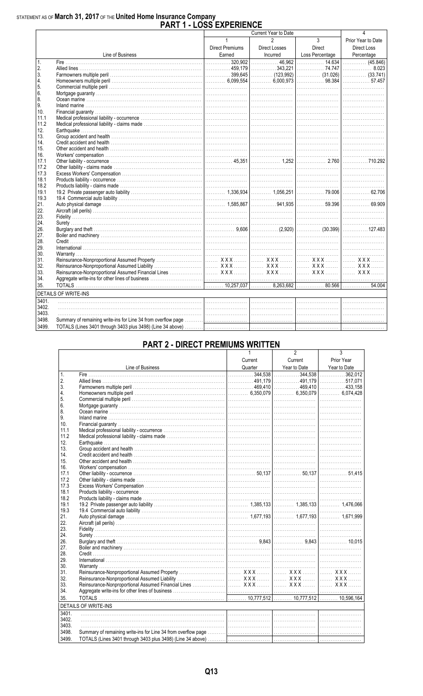## STATEMENT AS OF March 31, 2017 OF THE United Home Insurance Company<br>PART 1 - LOSS EXPERIENCE

| $\mathbf{1}$<br>$\overline{3}$<br>$\mathfrak{p}$<br>Prior Year to Date<br>Direct<br><b>Direct Premiums</b><br>Direct Losses<br><b>Direct Loss</b><br>Loss Percentage<br>Line of Business<br>Earned<br>Incurred<br>Percentage<br>$\overline{\phantom{a}}$<br>$\mathbf{1}$ .<br>2.<br>3.<br>$\ldots \ldots \ldots \ldots$ 57.457<br>4.<br>5.<br>6.<br>8.<br>9.<br>10.<br>11.1<br>11.2<br>12.<br>13.<br>14.<br>15.<br>16.<br>17.1<br>17.2<br>17.3<br>18.1<br>18.2<br>19.1<br>19.3<br>21.<br>22.<br>23.<br>24.<br>26.<br>27.<br>28.<br>29.<br>30.<br>31.<br>32.<br>33.<br>34.<br>35.<br><b>DETAILS OF WRITE-INS</b><br>3401.<br>3402.<br>3403.<br>3498. |       | י בטטט במו בוזובוז<br>Current Year to Date |  |  |  |   |  |  |  |  |
|-----------------------------------------------------------------------------------------------------------------------------------------------------------------------------------------------------------------------------------------------------------------------------------------------------------------------------------------------------------------------------------------------------------------------------------------------------------------------------------------------------------------------------------------------------------------------------------------------------------------------------------------------------|-------|--------------------------------------------|--|--|--|---|--|--|--|--|
| $\overline{\hspace{1.5cm} (45.846)}$                                                                                                                                                                                                                                                                                                                                                                                                                                                                                                                                                                                                                |       |                                            |  |  |  | 4 |  |  |  |  |
|                                                                                                                                                                                                                                                                                                                                                                                                                                                                                                                                                                                                                                                     |       |                                            |  |  |  |   |  |  |  |  |
|                                                                                                                                                                                                                                                                                                                                                                                                                                                                                                                                                                                                                                                     |       |                                            |  |  |  |   |  |  |  |  |
|                                                                                                                                                                                                                                                                                                                                                                                                                                                                                                                                                                                                                                                     |       |                                            |  |  |  |   |  |  |  |  |
|                                                                                                                                                                                                                                                                                                                                                                                                                                                                                                                                                                                                                                                     |       |                                            |  |  |  |   |  |  |  |  |
|                                                                                                                                                                                                                                                                                                                                                                                                                                                                                                                                                                                                                                                     |       |                                            |  |  |  |   |  |  |  |  |
|                                                                                                                                                                                                                                                                                                                                                                                                                                                                                                                                                                                                                                                     |       |                                            |  |  |  |   |  |  |  |  |
|                                                                                                                                                                                                                                                                                                                                                                                                                                                                                                                                                                                                                                                     |       |                                            |  |  |  |   |  |  |  |  |
|                                                                                                                                                                                                                                                                                                                                                                                                                                                                                                                                                                                                                                                     |       |                                            |  |  |  |   |  |  |  |  |
|                                                                                                                                                                                                                                                                                                                                                                                                                                                                                                                                                                                                                                                     |       |                                            |  |  |  |   |  |  |  |  |
|                                                                                                                                                                                                                                                                                                                                                                                                                                                                                                                                                                                                                                                     |       |                                            |  |  |  |   |  |  |  |  |
|                                                                                                                                                                                                                                                                                                                                                                                                                                                                                                                                                                                                                                                     |       |                                            |  |  |  |   |  |  |  |  |
|                                                                                                                                                                                                                                                                                                                                                                                                                                                                                                                                                                                                                                                     |       |                                            |  |  |  |   |  |  |  |  |
|                                                                                                                                                                                                                                                                                                                                                                                                                                                                                                                                                                                                                                                     |       |                                            |  |  |  |   |  |  |  |  |
|                                                                                                                                                                                                                                                                                                                                                                                                                                                                                                                                                                                                                                                     |       |                                            |  |  |  |   |  |  |  |  |
|                                                                                                                                                                                                                                                                                                                                                                                                                                                                                                                                                                                                                                                     |       |                                            |  |  |  |   |  |  |  |  |
|                                                                                                                                                                                                                                                                                                                                                                                                                                                                                                                                                                                                                                                     |       |                                            |  |  |  |   |  |  |  |  |
|                                                                                                                                                                                                                                                                                                                                                                                                                                                                                                                                                                                                                                                     |       |                                            |  |  |  |   |  |  |  |  |
|                                                                                                                                                                                                                                                                                                                                                                                                                                                                                                                                                                                                                                                     |       |                                            |  |  |  |   |  |  |  |  |
|                                                                                                                                                                                                                                                                                                                                                                                                                                                                                                                                                                                                                                                     |       |                                            |  |  |  |   |  |  |  |  |
|                                                                                                                                                                                                                                                                                                                                                                                                                                                                                                                                                                                                                                                     |       |                                            |  |  |  |   |  |  |  |  |
|                                                                                                                                                                                                                                                                                                                                                                                                                                                                                                                                                                                                                                                     |       |                                            |  |  |  |   |  |  |  |  |
|                                                                                                                                                                                                                                                                                                                                                                                                                                                                                                                                                                                                                                                     |       |                                            |  |  |  |   |  |  |  |  |
|                                                                                                                                                                                                                                                                                                                                                                                                                                                                                                                                                                                                                                                     |       |                                            |  |  |  |   |  |  |  |  |
|                                                                                                                                                                                                                                                                                                                                                                                                                                                                                                                                                                                                                                                     |       |                                            |  |  |  |   |  |  |  |  |
|                                                                                                                                                                                                                                                                                                                                                                                                                                                                                                                                                                                                                                                     |       |                                            |  |  |  |   |  |  |  |  |
|                                                                                                                                                                                                                                                                                                                                                                                                                                                                                                                                                                                                                                                     |       |                                            |  |  |  |   |  |  |  |  |
|                                                                                                                                                                                                                                                                                                                                                                                                                                                                                                                                                                                                                                                     |       |                                            |  |  |  |   |  |  |  |  |
|                                                                                                                                                                                                                                                                                                                                                                                                                                                                                                                                                                                                                                                     |       |                                            |  |  |  |   |  |  |  |  |
|                                                                                                                                                                                                                                                                                                                                                                                                                                                                                                                                                                                                                                                     |       |                                            |  |  |  |   |  |  |  |  |
|                                                                                                                                                                                                                                                                                                                                                                                                                                                                                                                                                                                                                                                     |       |                                            |  |  |  |   |  |  |  |  |
|                                                                                                                                                                                                                                                                                                                                                                                                                                                                                                                                                                                                                                                     |       |                                            |  |  |  |   |  |  |  |  |
|                                                                                                                                                                                                                                                                                                                                                                                                                                                                                                                                                                                                                                                     |       |                                            |  |  |  |   |  |  |  |  |
|                                                                                                                                                                                                                                                                                                                                                                                                                                                                                                                                                                                                                                                     |       |                                            |  |  |  |   |  |  |  |  |
|                                                                                                                                                                                                                                                                                                                                                                                                                                                                                                                                                                                                                                                     |       |                                            |  |  |  |   |  |  |  |  |
|                                                                                                                                                                                                                                                                                                                                                                                                                                                                                                                                                                                                                                                     |       |                                            |  |  |  |   |  |  |  |  |
|                                                                                                                                                                                                                                                                                                                                                                                                                                                                                                                                                                                                                                                     |       |                                            |  |  |  |   |  |  |  |  |
|                                                                                                                                                                                                                                                                                                                                                                                                                                                                                                                                                                                                                                                     |       |                                            |  |  |  |   |  |  |  |  |
|                                                                                                                                                                                                                                                                                                                                                                                                                                                                                                                                                                                                                                                     |       |                                            |  |  |  |   |  |  |  |  |
|                                                                                                                                                                                                                                                                                                                                                                                                                                                                                                                                                                                                                                                     |       |                                            |  |  |  |   |  |  |  |  |
|                                                                                                                                                                                                                                                                                                                                                                                                                                                                                                                                                                                                                                                     |       |                                            |  |  |  |   |  |  |  |  |
|                                                                                                                                                                                                                                                                                                                                                                                                                                                                                                                                                                                                                                                     |       |                                            |  |  |  |   |  |  |  |  |
|                                                                                                                                                                                                                                                                                                                                                                                                                                                                                                                                                                                                                                                     |       |                                            |  |  |  |   |  |  |  |  |
|                                                                                                                                                                                                                                                                                                                                                                                                                                                                                                                                                                                                                                                     |       |                                            |  |  |  |   |  |  |  |  |
|                                                                                                                                                                                                                                                                                                                                                                                                                                                                                                                                                                                                                                                     |       |                                            |  |  |  |   |  |  |  |  |
|                                                                                                                                                                                                                                                                                                                                                                                                                                                                                                                                                                                                                                                     |       |                                            |  |  |  |   |  |  |  |  |
|                                                                                                                                                                                                                                                                                                                                                                                                                                                                                                                                                                                                                                                     |       |                                            |  |  |  |   |  |  |  |  |
|                                                                                                                                                                                                                                                                                                                                                                                                                                                                                                                                                                                                                                                     | 3499. |                                            |  |  |  |   |  |  |  |  |

### **PART 2 - DIRECT PREMIUMS WRITTEN**

|                 |                                                                                                                      |         | z            | J.           |
|-----------------|----------------------------------------------------------------------------------------------------------------------|---------|--------------|--------------|
|                 |                                                                                                                      | Current | Current      | Prior Year   |
|                 | Line of Business                                                                                                     | Quarter | Year to Date | Year to Date |
| $\mathbf{1}$ .  |                                                                                                                      |         |              |              |
| 2.              |                                                                                                                      |         |              |              |
| 3.              |                                                                                                                      |         |              |              |
| 4.              |                                                                                                                      |         |              |              |
| 5.              |                                                                                                                      |         |              |              |
| 6.              |                                                                                                                      |         |              |              |
| 8.              |                                                                                                                      |         |              |              |
| 9.              |                                                                                                                      |         |              |              |
| 10 <sub>1</sub> |                                                                                                                      |         |              |              |
| 11.1            |                                                                                                                      |         |              |              |
| 11.2            |                                                                                                                      |         |              |              |
| 12.             |                                                                                                                      |         |              |              |
| 13.             |                                                                                                                      |         |              |              |
| 14.             |                                                                                                                      |         |              |              |
| 15.             |                                                                                                                      |         |              |              |
| 16.             |                                                                                                                      |         |              |              |
| 17.1            |                                                                                                                      |         |              |              |
| 17.2            |                                                                                                                      |         |              |              |
| 17.3            |                                                                                                                      |         |              |              |
| 18.1            |                                                                                                                      |         |              |              |
| 18.2            |                                                                                                                      |         |              |              |
| 19.1            |                                                                                                                      |         |              |              |
| 19.3            |                                                                                                                      |         |              |              |
| 21.             |                                                                                                                      |         |              |              |
| 22.             |                                                                                                                      |         |              |              |
| 23.             |                                                                                                                      |         |              |              |
| 24.             |                                                                                                                      |         |              |              |
| 26.             |                                                                                                                      |         |              |              |
| 27.             |                                                                                                                      |         |              |              |
| 28.             |                                                                                                                      |         |              |              |
| 29.             |                                                                                                                      |         |              |              |
| 30.             |                                                                                                                      |         |              |              |
| 31.             |                                                                                                                      |         |              |              |
| 32.             |                                                                                                                      |         |              |              |
| 33.             |                                                                                                                      |         |              |              |
| 34.             |                                                                                                                      |         |              |              |
| 35.             |                                                                                                                      |         |              |              |
|                 | <b>DETAILS OF WRITE-INS</b>                                                                                          |         |              |              |
|                 | <u> 1989 - Johann Stein, mars an deutscher Stein und der Stein und der Stein und der Stein und der Stein und der</u> |         |              |              |
| 3401.           |                                                                                                                      |         |              |              |
| 3402.           |                                                                                                                      |         |              |              |
| 3403.           |                                                                                                                      |         |              |              |
| 3498.           |                                                                                                                      |         |              |              |
| 3499.           |                                                                                                                      |         |              |              |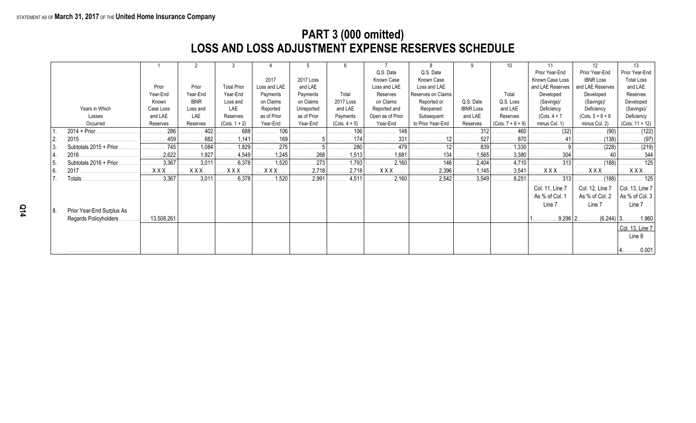### **PART 3 (000 omitted) LOSS AND LOSS ADJUSTMENT EXPENSE RESERVES SCHEDULE**

|      |                           |            |                                  | -3                    |                            |             | -6                    |                  |                    |                  |                              |                  | 12                     | 13                           |
|------|---------------------------|------------|----------------------------------|-----------------------|----------------------------|-------------|-----------------------|------------------|--------------------|------------------|------------------------------|------------------|------------------------|------------------------------|
|      |                           |            |                                  |                       |                            |             |                       | Q.S. Date        | Q.S. Date          |                  |                              | Prior Year-End   | Prior Year-End         | Prior Year-End               |
|      |                           |            |                                  |                       | 2017                       | 2017 Loss   |                       | Known Case       | Known Case         |                  |                              | Known Case Loss  | <b>IBNR Loss</b>       | <b>Total Loss</b>            |
|      |                           | Prior      | Prior                            | <b>Total Prior</b>    | Loss and LAE               | and LAE     |                       | Loss and LAE     | Loss and LAE       |                  |                              | and LAE Reserves | and LAE Reserves       | and LAE                      |
|      |                           | Year-End   | Year-End                         | Year-End              | Payments                   | Payments    | Total                 | Reserves         | Reserves on Claims |                  | Total                        | Developed        | Developed              | Reserves                     |
|      |                           | Known      | <b>IBNR</b>                      | Loss and              | on Claims                  | on Claims   | 2017 Loss             | on Claims        | Reported or        | Q.S. Date        | Q.S. Loss                    | (Savings)/       | (Savings)/             | Developed                    |
|      | Years in Which            | Case Loss  | Loss and                         | LAE                   | Reported                   | Unreported  | and LAE               | Reported and     | Reopened           | <b>IBNR Loss</b> | and LAE                      | Deficiency       | Deficiency             | (Savings)/                   |
|      | Losses                    | and LAE    | LAE                              | Reserves              | as of Prior                | as of Prior | Payments              | Open as of Prior | Subsequent         | and LAE          | Reserves                     | $(Cols. 4 + 7)$  | $(Cols. 5 + 8 + 9)$    | Deficiency                   |
|      | Occurred                  | Reserves   | Reserves                         | $(Cols. 1 + 2)$       | Year-End                   | Year-End    | $(Cols. 4 + 5)$       | Year-End         | to Prior Year-End  | Reserves         | $(Cols. 7 + 8 + 9)$          | minus Col. 1)    | minus Col. 2)          | $(Cols. 11 + 12)$            |
|      | 2014 + Prior              | 286<br>.   | 402<br>.                         | 688<br>.              | $\ldots \ldots \ldots 106$ | .           | 106<br>.              | 148<br>.         |                    | 312<br>.         | 460<br>.                     | . (32)           |                        | $\ldots \ldots \ldots (122)$ |
|      | 2015                      |            | 682<br>.                         | 1.141                 | 169<br>.                   |             |                       | 331<br>.         |                    | 527<br>.         | 870                          |                  | (138)                  |                              |
|      | Subtotals 2015 + Prior.   | 745        | 1,084<br>.                       | 1,829<br>.            | 275<br>.                   |             | 280                   | . 479            |                    | 839              | .1,330                       |                  | (228)                  | . (219)                      |
|      |                           | 2,622      | $\ldots \ldots 1,927$            | $\ldots$ 4,549        | $\ldots \ldots 1,245$      | 268<br>.    | 1,513                 | 1,681<br>.       |                    | 1,565            | 3,380                        |                  |                        |                              |
|      | Subtotals 2016 + Prior.   | .3,367     | $\overline{\ldots \ldots 3,011}$ | $\ldots \ldots 6,378$ | 1,520                      | 273         | $\ldots \ldots 1,793$ |                  | 146<br>.           | 2,404            | .4,710                       | . 313            | . (188)                | 125                          |
| l 6. |                           | XXX.       |                                  |                       | <b>X X X</b>               | 2,718<br>.  | . 2,718               | <b>XXX</b>       | 2,396<br>.         | 1,145            | $\ldots \ldots \ldots$ 3,541 | <b>XXX</b>       | XXX.<br>.              | $XXX$                        |
|      | . Fotals                  | 3,367      | .3,011<br>.                      | . 6,378               | 1,520                      | 2,991       | $\ldots \ldots 4,511$ | .2,160<br>.      | 2,542<br>.         | 3,549            | 8,251                        | 313              |                        | 125                          |
|      |                           |            |                                  |                       |                            |             |                       |                  |                    |                  |                              | Col. 11, Line 7  | Col. 12, Line 7        | $ $ Col. 13, Line 7          |
|      |                           |            |                                  |                       |                            |             |                       |                  |                    |                  |                              | As % of Col. 1   | As % of Col. 2         | As % of Col. 3               |
|      |                           |            |                                  |                       |                            |             |                       |                  |                    |                  |                              | Line 7           | Line 7                 | Line 7                       |
| 18.  | Prior Year-End Surplus As |            |                                  |                       |                            |             |                       |                  |                    |                  |                              |                  |                        |                              |
|      | Regards Policyholders     | 13,508,261 |                                  |                       |                            |             |                       |                  |                    |                  |                              |                  | $9.296$ $2$<br>(6.244) | . 1.960                      |
|      |                           |            |                                  |                       |                            |             |                       |                  |                    |                  |                              |                  |                        | Col. 13, Line 7              |
|      |                           |            |                                  |                       |                            |             |                       |                  |                    |                  |                              |                  |                        | Line 8                       |
|      |                           |            |                                  |                       |                            |             |                       |                  |                    |                  |                              |                  |                        |                              |
|      |                           |            |                                  |                       |                            |             |                       |                  |                    |                  |                              |                  |                        | $4$ 0.001                    |
|      |                           |            |                                  |                       |                            |             |                       |                  |                    |                  |                              |                  |                        |                              |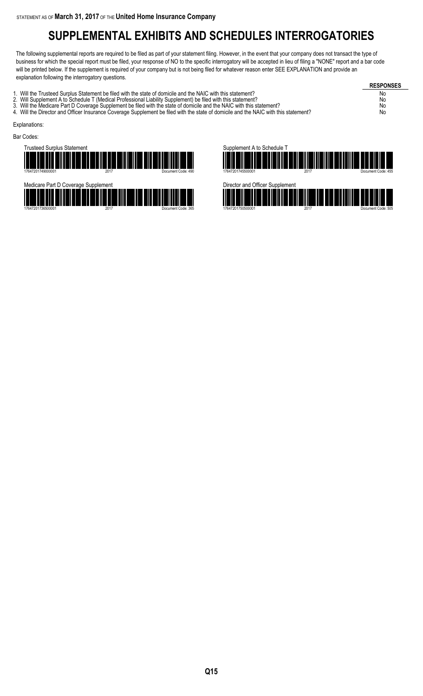### **SUPPLEMENTAL EXHIBITS AND SCHEDULES INTERROGATORIES**

The following supplemental reports are required to be filed as part of your statement filing. However, in the event that your company does not transact the type of business for which the special report must be filed, your response of NO to the specific interrogatory will be accepted in lieu of filing a "NONE" report and a bar code will be printed below. If the supplement is required of your company but is not being filed for whatever reason enter SEE EXPLANATION and provide an explanation following the interrogatory questions.

**RESPONSES** 1. Will the Trusteed Surplus Statement be filed with the state of domicile and the NAIC with this statement?<br>2. Will Supplement A to Schedule T (Medical Professional Liability Supplement) be filed with this statement? 2. Will Supplement A to Schedule T (Medical Professional Liability Supplement) be filed with this statement? No<br>2. Will the Medicare Part D Coverage Supplement be filed with the state of domicile and the NAIC with this sta 3. Will the Medicare Part D Coverage Supplement be filed with the state of domicile and the NAIC with this statement? No 4. Will the Director and Officer Insurance Coverage Supplement be filed with the state of domicile and the NAIC with this statement? No Explanations: Bar Codes: **Trusteed Surplus Statem** nt A to Schedule T



17647201736500001 2017 Document Code: 365



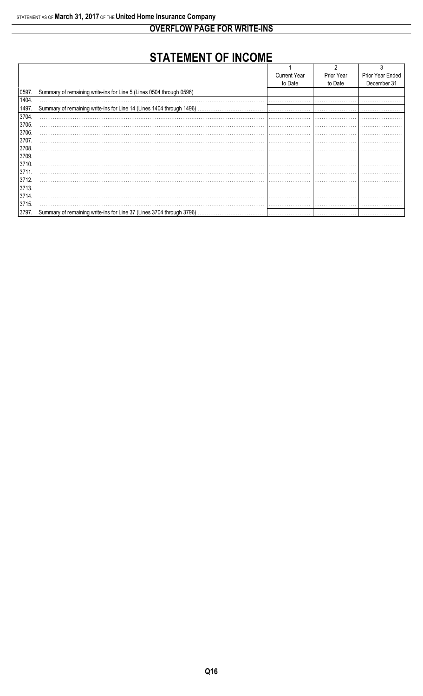**OVERFLOW PAGE FOR WRITE-INS** 

### **STATEMENT OF INCOME**

|       |                                                                      | <b>Current Year</b> | Prior Year | Prior Year Ended |
|-------|----------------------------------------------------------------------|---------------------|------------|------------------|
|       |                                                                      | to Date             | to Date    | December 31      |
| 0597. | Summary of remaining write-ins for Line 5 (Lines 0504 through 0596). |                     |            |                  |
| 1404. |                                                                      |                     |            |                  |
| 1497. |                                                                      |                     |            |                  |
| 3704. |                                                                      |                     |            |                  |
| 3705. |                                                                      |                     |            |                  |
| 3706. |                                                                      |                     |            |                  |
| 3707. |                                                                      |                     |            |                  |
| 3708. |                                                                      |                     |            |                  |
| 3709. |                                                                      |                     |            |                  |
| 3710. |                                                                      |                     |            |                  |
| 3711  |                                                                      |                     |            |                  |
| 3712. |                                                                      |                     |            |                  |
| 3713. |                                                                      |                     |            |                  |
| 3714. |                                                                      |                     |            |                  |
| 3715. |                                                                      |                     |            |                  |
| 3797. | Summary of remaining write-ins for Line 37 (Lines 3704 through 3796) |                     |            |                  |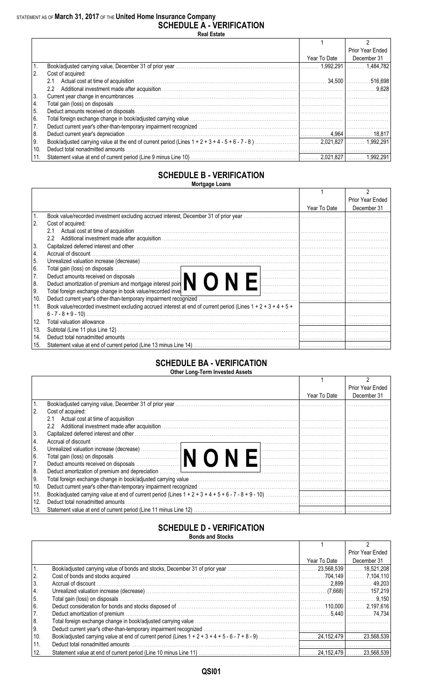**SCHEDULE A - VERIFICATION Real Estate**

|               |                                  |              | Prior Year Ended |
|---------------|----------------------------------|--------------|------------------|
|               |                                  | Year To Date | December 31      |
|               |                                  |              |                  |
| <sup>2.</sup> | Cost of acquired:                |              |                  |
|               | 2.1                              |              |                  |
|               | $2.2^{\circ}$                    |              |                  |
| 3.            |                                  |              |                  |
| 4.            |                                  |              |                  |
| 5.            |                                  |              |                  |
| 6.            |                                  |              |                  |
| 7.            |                                  |              |                  |
| 8.            |                                  |              |                  |
| 9.            |                                  |              |                  |
| 10.           | Deduct total nonadmitted amounts |              |                  |
| 11.           |                                  |              |                  |

#### **SCHEDULE B - VERIFICATION Mortgage Loans**

|                                                                                                                      |              | Prior Year Ended |
|----------------------------------------------------------------------------------------------------------------------|--------------|------------------|
|                                                                                                                      | Year To Date | December 31      |
| l 1.<br>Book value/recorded investment excluding accrued interest, December 31 of prior year.                        |              |                  |
| <sup>2.</sup><br>Cost of acquired:                                                                                   |              |                  |
| Actual cost at time of acquisition.<br>2.1                                                                           |              |                  |
| $2.2^{\circ}$                                                                                                        |              |                  |
| 3.                                                                                                                   |              |                  |
| 14.                                                                                                                  |              |                  |
| 5.                                                                                                                   |              |                  |
| l 6.                                                                                                                 |              |                  |
| 7.                                                                                                                   |              |                  |
| 8.                                                                                                                   |              |                  |
| Total foreign exchange change in book value/recorded inve<br>9.                                                      |              |                  |
| 10.<br>Deduct current year's other-than-temporary impairment recognized                                              |              |                  |
| Book value/recorded investment excluding accrued interest at end of current period (Lines 1 + 2 + 3 + 4 + 5 +<br>11. |              |                  |
|                                                                                                                      |              |                  |
| 12.                                                                                                                  |              |                  |
| 13.                                                                                                                  |              |                  |
| 14.<br>Deduct total nonadmitted amounts                                                                              |              |                  |
| 15.                                                                                                                  |              |                  |

#### **SCHEDULE BA - VERIFICATION Other Long-Term Invested Assets**

|      |                                                                                                                                                                                                                                |              | Prior Year Ended |
|------|--------------------------------------------------------------------------------------------------------------------------------------------------------------------------------------------------------------------------------|--------------|------------------|
|      |                                                                                                                                                                                                                                | Year To Date | December 31      |
|      |                                                                                                                                                                                                                                |              |                  |
| 2.   | Cost of acquired:                                                                                                                                                                                                              |              |                  |
|      | 2.1                                                                                                                                                                                                                            |              |                  |
|      | $2.2^{\circ}$                                                                                                                                                                                                                  |              |                  |
| 3.   | Capitalized deferred interest and other with the continuum control of the control of the control of the control of the control of the control of the control of the control of the control of the control of the control of th |              |                  |
| 14.  |                                                                                                                                                                                                                                |              |                  |
| I 5. | Unrealized valuation increase (decrease)<br>Total gain (loss) on disposals<br>Deduct amounts received on disposals<br>Deduct amounts received on disposals                                                                     |              |                  |
| l 6. |                                                                                                                                                                                                                                |              |                  |
| 7.   |                                                                                                                                                                                                                                |              |                  |
| 8.   |                                                                                                                                                                                                                                |              |                  |
| I 9. |                                                                                                                                                                                                                                |              |                  |
| 10.  |                                                                                                                                                                                                                                |              |                  |
| 11.  |                                                                                                                                                                                                                                |              |                  |
| 12.  | Deduct total nonadmitted amounts                                                                                                                                                                                               |              |                  |
| 13.  |                                                                                                                                                                                                                                |              |                  |

### **SCHEDULE D - VERIFICATION**

**Bonds and Stocks**

|     |                                  |              | Prior Year Ended |
|-----|----------------------------------|--------------|------------------|
|     |                                  | Year To Date | December 31      |
|     |                                  |              |                  |
| 2.  |                                  |              |                  |
| 3.  |                                  |              |                  |
| 4.  |                                  |              |                  |
| 5.  |                                  |              |                  |
| 6.  |                                  |              |                  |
| 17. |                                  |              |                  |
| 8.  |                                  |              |                  |
| 9.  |                                  |              |                  |
| 10. |                                  |              |                  |
| 11. | Deduct total nonadmitted amounts |              |                  |
| 12. |                                  |              |                  |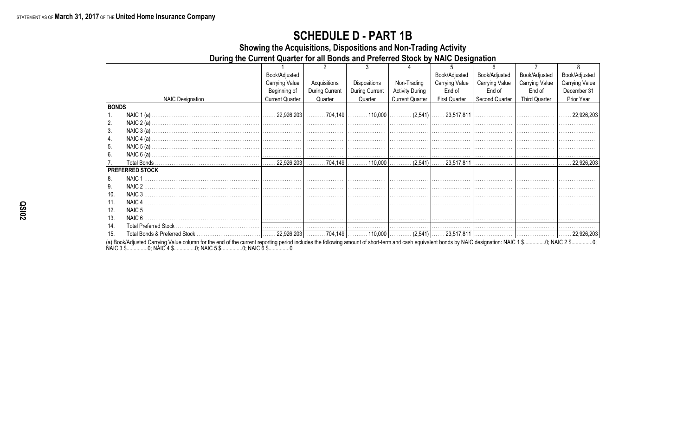### **SCHEDULE D - PART 1B**

Showing the Acquisitions, Dispositions and Non-Trading Activity

During the Current Quarter for all Bonds and Preferred Stock by NAIC Designation

|                  |                         | Book/Adjusted          |                |                |                        | Book/Adjusted         | Book/Adjusted  | Book/Adjusted         | Book/Adjusted         |
|------------------|-------------------------|------------------------|----------------|----------------|------------------------|-----------------------|----------------|-----------------------|-----------------------|
|                  |                         | <b>Carrying Value</b>  | Acquisitions   | Dispositions   | Non-Trading            | <b>Carrying Value</b> | Carrying Value | <b>Carrying Value</b> | <b>Carrying Value</b> |
|                  |                         | Beginning of           | During Current | During Current | <b>Activity During</b> | End of                | End of         | End of                | December 31           |
|                  | <b>NAIC Designation</b> | <b>Current Quarter</b> | Quarter        | Quarter        | <b>Current Quarter</b> | <b>First Quarter</b>  | Second Quarter | <b>Third Quarter</b>  | Prior Year            |
| <b>BONDS</b>     |                         |                        |                |                |                        |                       |                |                       |                       |
| $\overline{1}$ . | NAIC $1(a)$             |                        |                |                |                        |                       |                |                       |                       |
| 2.               |                         |                        |                |                |                        |                       |                |                       |                       |
| 3.               |                         |                        |                |                |                        |                       |                |                       |                       |
| 4.               |                         |                        |                |                |                        |                       |                |                       |                       |
| 5.               |                         |                        |                |                |                        |                       |                |                       |                       |
| <sup>6.</sup>    |                         |                        |                |                |                        |                       |                |                       |                       |
| 7.               |                         |                        |                |                |                        |                       |                |                       |                       |
|                  | <b>PREFERRED STOCK</b>  |                        |                |                |                        |                       |                |                       |                       |
| 8.               | NAIC <sub>1</sub>       |                        |                |                |                        |                       |                |                       |                       |
| <b>9.</b>        | NAIC 2                  |                        |                |                |                        |                       |                |                       |                       |
| 10.              | NAIC 3                  |                        |                |                |                        |                       |                |                       |                       |
| 11.              | NAIC <sub>4</sub>       |                        |                |                |                        |                       |                |                       |                       |
| 12.              | NAIC 5                  |                        |                |                |                        |                       |                |                       |                       |
| 13.              |                         |                        |                |                |                        |                       |                |                       |                       |
| 14.              |                         |                        |                |                |                        |                       |                |                       |                       |
| 15.              |                         |                        |                |                |                        |                       |                |                       |                       |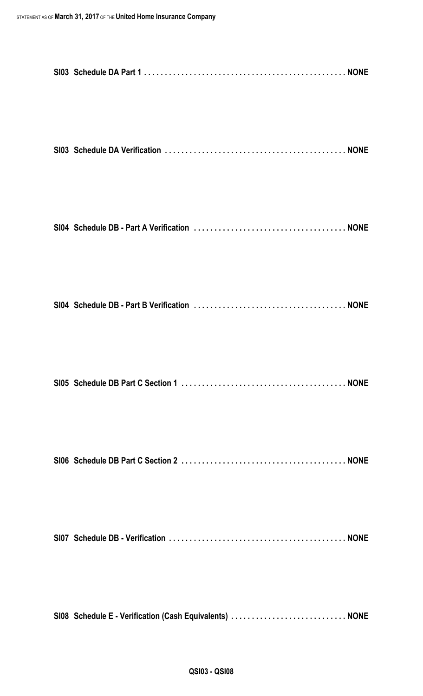| SI08 Schedule E - Verification (Cash Equivalents)  NONE |  |
|---------------------------------------------------------|--|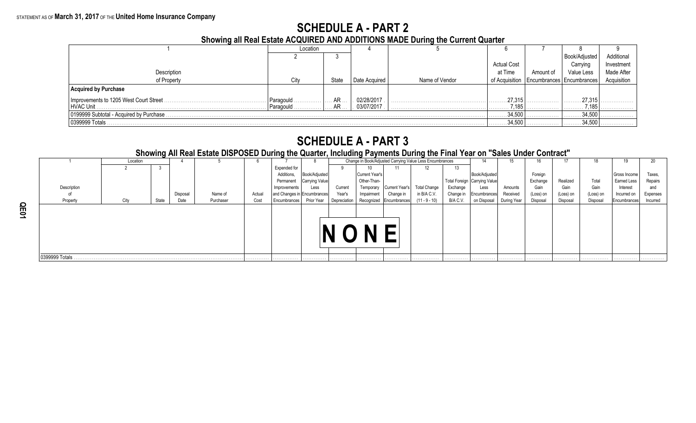### **SCHEDULE A - PART 2**

**Showing all Real Estate ACQUIRED AND ADDITIONS MADE During the Current Quarter**

|                                          | Location  |             |               |                |                    |           |                                              |             |
|------------------------------------------|-----------|-------------|---------------|----------------|--------------------|-----------|----------------------------------------------|-------------|
|                                          |           |             |               |                |                    |           | Book/Adjusted                                | Additional  |
|                                          |           |             |               |                | <b>Actual Cost</b> |           | Carrying                                     | Investment  |
| Description                              |           |             |               |                | at Time            | Amount of | Value Less                                   | Made After  |
| of Property                              | City      | State       | Date Acquired | Name of Vendor |                    |           | of Acquisition   Encumbrances   Encumbrances | Acquisition |
| <b>Acquired by Purchase</b>              |           |             |               |                |                    |           |                                              |             |
| Improvements to 1205 West Court Street.  | Paragould | AR          | 02/28/2017    |                |                    |           |                                              |             |
| HVAC Unit                                | Paragould | AR          | 03/07/2017    |                | 7,185<br>.         |           | 7,185<br>.                                   |             |
| 0199999 Subtotal - Acquired by Purchase. |           | 34,500<br>. |               | 34,500         |                    |           |                                              |             |
| 0399999 Totals                           |           |             |               |                | 34.500<br>.        |           | 34,500                                       |             |

### **SCHEDULE A - PART 3**

Location 4 5 6 6 7 8 Change in Book/Adjusted Carrying Value Less Encumbrances 14 15 16 17 18 19 20 2 3 Expended for 9 10 11 12 13 Additions, |Book/Adjusted | Current Year's | | | | |Book/Adjusted | | Foreign | | | |Gross Income | Taxes, Permanent Carrying Value | Other-Than- | Total Total Foreign Carrying Value | Exchange Realized | Total | Earned Less | Repairs Description I Cain Interest I I Cain Interest and Less Current Temporary Current Year's Total Change Exchange Less Amounts Gain Gain I Gain Interest and of Disposal Name of Actual and Changes in Encumbrances Year's Impairment | Change in In B/A C.V. | Change in Encumbrances| Received | (Loss) on | (Loss) on | (Loss) on | Incurred on | Expenses Property City State Bate Purchaser Cost Encumbrances Prior Year Depreciation Recognized Encumbrances (11 - 9 - 10) B/A C.V. on Disposal During Year Disposal Disposal Disposal Encumbrances Incurred 0399999 Totals . . . . . . . . . . . . . . . . . . . . . . . . . . . . . . . . . . . . . . . . . . . . . . . . . . . . . . . . . . . . . . . . . . . . . . . . . . . . . . . . . . . . . . . . . . . . . . . . . . . . . . . . . . . . . . . . . . . . . . . . . . . . . . . . . . . . . . . . . . . . . . . . . . . . . . . . . . . . . . . . . . . . . . . . . . . . . . . . . . . . . . . . . . . . . . . . . . . . . . . . . . . . . . . . . . . . . . . . . . . . . . . . . . . . . . . . . . . . . . . . . . . . . . . . . . . . . . . . . . . . . . . . . . . . . . . . . . . . . . . . . . . . . . . . . . . . . **N O N E**

**Showing All Real Estate DISPOSED During the Quarter, Including Payments During the Final Year on "Sales Under Contract"**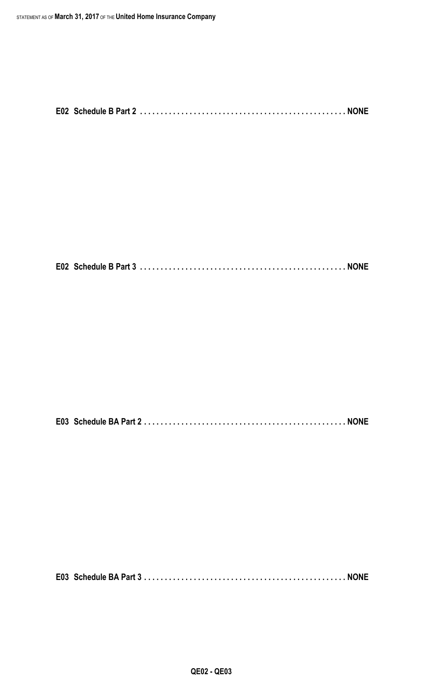|--|--|--|

**E02 Schedule B Part 3 . . . . . . . . . . . . . . . . . . . . . . . . . . . . . . . . . . . . . . . . . . . . . . . . . . NONE**

**E03 Schedule BA Part 2 . . . . . . . . . . . . . . . . . . . . . . . . . . . . . . . . . . . . . . . . . . . . . . . . . NONE**

**E03 Schedule BA Part 3 . . . . . . . . . . . . . . . . . . . . . . . . . . . . . . . . . . . . . . . . . . . . . . . . . NONE**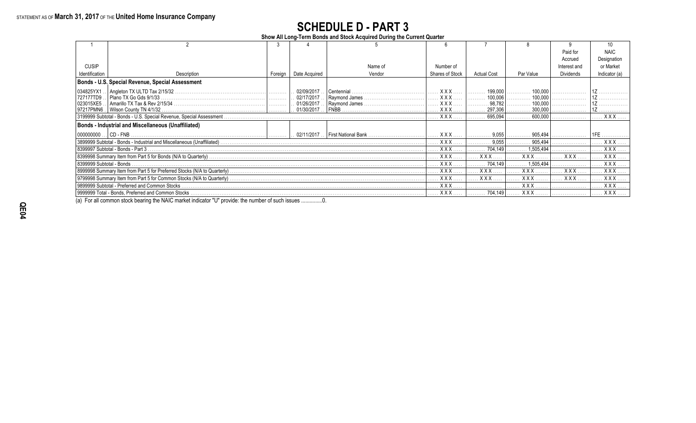### **SCHEDULE D - PART 3**

**Show All Long-Term Bonds and Stock Acquired During the Current Quarter**

|                          |                                                     |         |               |            |                 |                    |            | Paid for     | <b>NAIC</b>   |
|--------------------------|-----------------------------------------------------|---------|---------------|------------|-----------------|--------------------|------------|--------------|---------------|
|                          |                                                     |         |               |            |                 |                    |            | Accrued      | Designation   |
| <b>CUSIP</b>             |                                                     |         |               | Name of    | Number of       |                    |            | Interest and | or Market     |
| Identification           | Description                                         | Foreign | Date Acquired | Vendor     | Shares of Stock | <b>Actual Cost</b> | Par Value  | Dividends    | Indicator (a) |
|                          | Bonds - U.S. Special Revenue, Special Assessment    |         |               |            |                 |                    |            |              |               |
| 034825YX1                |                                                     |         | 02/09/2017    | Centennial | XXX.            | 199,000            | 100.00     |              |               |
| 727177TD9.               | Plano TX Go Gds 9/1/33.                             |         | 02/17/2017    |            | . X X X         | 100,006            | 100,000    |              |               |
|                          |                                                     |         |               |            | . X X X         | . 98.782           | 100.000    |              |               |
|                          |                                                     |         |               |            | XXX             | 297,306            | 300.000    |              |               |
|                          |                                                     |         |               |            | $XXX$           | 695,094            | 600,000    |              | <b>XXX</b>    |
|                          | Bonds - Industrial and Miscellaneous (Unaffiliated) |         |               |            |                 |                    |            |              |               |
|                          |                                                     |         |               |            | <b>XXX</b>      | 9.055              | 905.494    |              |               |
|                          |                                                     |         |               |            | . X X X         | 9.055              | 905.494    |              | XXX           |
|                          | 8399997 Subtotal - Bonds - Part 3.                  |         |               |            | XXX             | 704.149            | 1,505,494  |              | $XXX$         |
|                          |                                                     |         |               |            | <b>XXX</b>      | <b>XXX</b>         | X X X      | <b>XXX</b>   | XXX.          |
| 8399999 Subtotal - Bonds |                                                     |         |               |            | <b>XXX</b>      | 704.149            | 1.505.494  |              | XXX.          |
|                          |                                                     |         |               |            | <b>XXX</b>      | <b>XXX</b>         | <b>XXX</b> | <b>XXX</b>   | <b>XXX</b>    |
|                          |                                                     |         |               |            | . X X X .       | <b>XXX</b>         | <b>XXX</b> | <b>XXX</b>   | XXX.          |
|                          |                                                     |         |               |            | XXX.            |                    | <b>XXX</b> |              | XXX           |
|                          |                                                     |         |               |            | . X X X         | 704.149            | . X X X    |              | $XXX$         |

(a) For all common stock bearing the NAIC market indicator "U" provide: the number of such issues ...............0.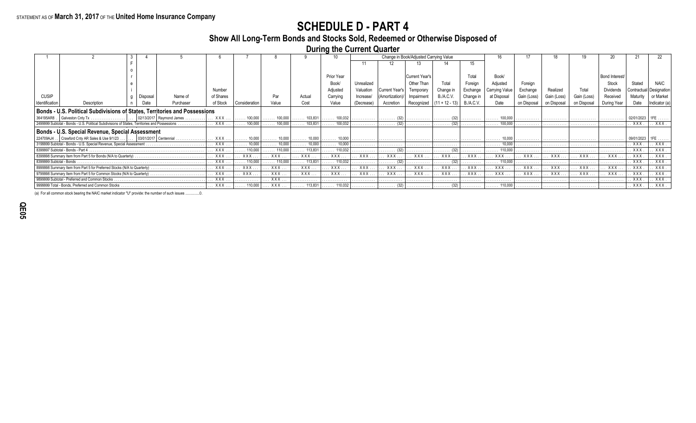### **SCHEDULE D - PART 4**

### **Show All Long-Term Bonds and Stocks Sold, Redeemed or Otherwise Disposed of**

**During the Current Quarter**

|                          |                                                                                                 |          |           |           |                         |                                          |                         |                                               |              |                             | Change in Book/Adjusted Carrying Value |                    |                  |                         |             |             |              |                  |            |              |
|--------------------------|-------------------------------------------------------------------------------------------------|----------|-----------|-----------|-------------------------|------------------------------------------|-------------------------|-----------------------------------------------|--------------|-----------------------------|----------------------------------------|--------------------|------------------|-------------------------|-------------|-------------|--------------|------------------|------------|--------------|
|                          |                                                                                                 |          |           |           |                         |                                          |                         |                                               |              |                             |                                        |                    | 15               |                         |             |             |              |                  |            |              |
|                          |                                                                                                 |          |           |           |                         |                                          |                         |                                               |              |                             |                                        |                    |                  |                         |             |             |              |                  |            |              |
|                          |                                                                                                 |          |           |           |                         |                                          |                         | Prior Year                                    |              |                             | Current Year's                         |                    | Total            | Book/                   |             |             |              | Bond Interest/   |            |              |
|                          |                                                                                                 |          |           |           |                         |                                          |                         | Book/                                         | Unrealized   |                             |                                        |                    | Foreiar          | Adjusted                | Foreian     |             |              | Stock            |            |              |
|                          |                                                                                                 |          |           | Number    |                         |                                          |                         | Adjusted                                      | Valuation    | Current Year's              | Temporar                               | Change ir          | Exchange         | Carrving Valu           | Exchange    |             |              | <b>Dividends</b> |            |              |
| <b>CUSIP</b>             |                                                                                                 | Disposal | Name of   | of Shares |                         | Par                                      | Actual                  | Carrying                                      | Increase/    | (Amortization)/             | Impairment                             | B./A.C.V.          | Change           | at Disposal             | Gain (Loss) | Gain (Loss) | Gain (Loss)  | Received         | Maturity   | or Market    |
| Identification           | Description                                                                                     | Date     | Purchaser | of Stock  | Consideration           | Value                                    | Cost                    | Value                                         | (Decrease)   | Accretion                   | Recognized                             | $ (11 + 12 - 13) $ | <b>B./A.C.V.</b> | Date                    | on Disposal | on Disposa  | on Disposal  | During Year      |            | Indicator (a |
|                          | Bonds - U.S. Political Subdivisions of States, Territories and Possessions                      |          |           |           |                         |                                          |                         |                                               |              |                             |                                        |                    |                  |                         |             |             |              |                  |            |              |
|                          |                                                                                                 |          |           | XXX       | $\ldots$ . 100,000      | 100.000                                  | $\ldots \ldots$ 103.831 | $\ldots \ldots 100.032$                       | .            | .                           |                                        | .                  |                  | 100,000                 |             |             |              |                  | 02/01/2023 |              |
|                          | 2499999 Subtotal - Bonds - U.S. Political Subdivisions of States, Territories and Possessions . |          | .         | XXX       | $\ldots \ldots 100,000$ | 100,000<br>.                             | $\ldots \ldots 103,831$ | $\ldots \ldots 100,032$                       | .            | .                           |                                        | .                  |                  | 100,000                 | .           |             |              | .                | . XXX .    | . XXX        |
|                          | Bonds - U.S. Special Revenue, Special Assessment                                                |          |           |           |                         |                                          |                         |                                               |              |                             |                                        |                    |                  |                         |             |             |              |                  |            |              |
|                          | 224709AJ4 Crawford Cnty AR Sales & Use 9/1/23 03/01/2017 Centennial                             |          |           | XXX       | 10,000<br>.             | 10,000                                   | $\ldots \ldots 10,000$  | 10.000                                        | .            |                             |                                        |                    |                  |                         |             |             |              |                  | 09/01/2023 |              |
|                          | 3199999 Subtotal - Bonds - U.S. Special Revenue, Special Assessment                             |          |           | XXX       | $\ldots$ 10,000         | 10,000                                   | $\ldots \ldots 10,000$  | 10.000                                        |              |                             |                                        |                    |                  | 10.000                  |             |             |              | .                | XXX.       | XXX          |
|                          | 8399997 Subtotal - Bonds - Part 4                                                               |          |           | XXX       | $\ldots$ . 110,000      | 110,000                                  | $\ldots$ . 113,831      | $\ldots$ . 110,032                            | .            | $\ldots \ldots$ (32)        |                                        | .                  |                  |                         |             |             |              | .                | XXX.       | XXX.         |
|                          |                                                                                                 |          |           | XXX .     | XXX.                    | XXX                                      | XXX                     | XXX                                           | XXX.         | XXX.                        | XXX                                    | . XXX              | XXX              | XXX                     | XXX.        | XXX.        | XXX .        | XXX              | XXX        | XXX          |
| 8399999 Subtotal - Bonds |                                                                                                 |          |           | XXX       | $\ldots$ . 110,000      | $\ldots \ldots 110,000$                  | $\ldots$ . 113,831      | $\ldots$ 110,032                              | .            | $\ldots \ldots \ldots$ (32) | .                                      | $\cdots$ (32)      | .                | $\ldots \ldots 110,000$ | .           | .           | .            | .                | XXX.       | XXX          |
|                          | 8999998 Summary Item from Part 5 for Preferred Stocks (N/A to Quarterly)                        |          |           | XXX       | XXX.                    | . XXX.                                   | XXX .                   | XXX .                                         | XXX.         | <b>XXX</b>                  | XXX.                                   | . XXX              | XXX              | XXX                     | XXX         | XXX.        | <b>XXX</b> . | XXX              | XXX.       | XXX.         |
|                          | 9799998 Summary Item from Part 5 for Common Stocks (N/A to Quarterly).                          |          |           | XXX .     | <b>XXX</b> .            | XXX .                                    | XXX .                   | XXX .                                         | XXX.         | XXX.                        | <b>XXX</b>                             | . XXX              | $.$ XXX          | $\ldots$ XXX            | XXX.        | <b>XXX</b>  | XXX .        | XXX              | XXX.       | XXX.         |
|                          | 9899999 Subtotal - Preferred and Common Stocks                                                  |          |           | XXX.      | .                       | XXX                                      | .                       | .                                             | . <b>.</b> . | .                           | .                                      | .                  | .                | .                       | .           | .           | .            | .                | . XXX      | XXX.         |
|                          | 9999999 Total - Bonds, Preferred and Common Stocks                                              |          |           | XXX       |                         | $\ldots$ . 110,000 $\ldots$ XXX $\ldots$ |                         | $\ldots \ldots 113,831 \ldots \ldots 110,032$ |              |                             |                                        |                    | .                |                         | .           | .           |              | .                | XXX .      | . . XXX .    |

(a) For all common stock bearing the NAIC market indicator "U" provide: the number of such issues ...............0.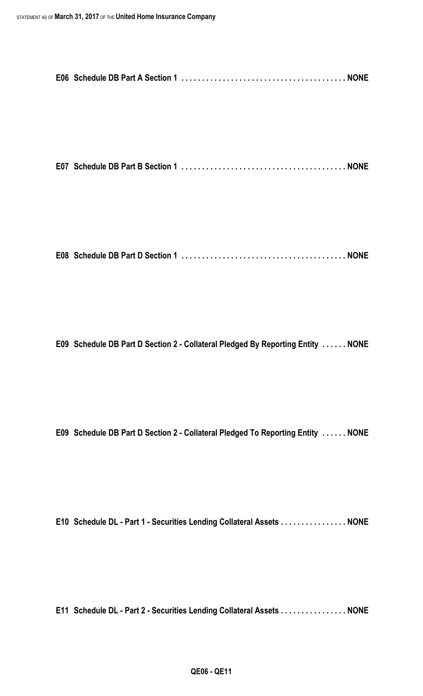**E07 Schedule DB Part B Section 1 . . . . . . . . . . . . . . . . . . . . . . . . . . . . . . . . . . . . . . . . NONE**

**E08 Schedule DB Part D Section 1 . . . . . . . . . . . . . . . . . . . . . . . . . . . . . . . . . . . . . . . . NONE**

**E09 Schedule DB Part D Section 2 - Collateral Pledged By Reporting Entity . . . . . . NONE**

**E09 Schedule DB Part D Section 2 - Collateral Pledged To Reporting Entity . . . . . . NONE**

**E10 Schedule DL - Part 1 - Securities Lending Collateral Assets . . . . . . . . . . . . . . . . NONE**

**E11 Schedule DL - Part 2 - Securities Lending Collateral Assets . . . . . . . . . . . . . . . . NONE**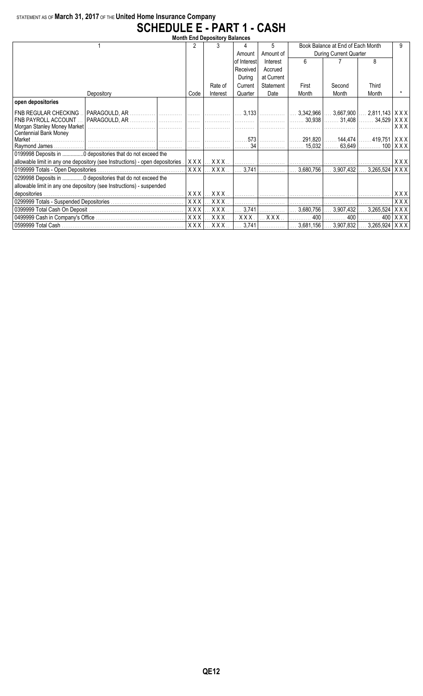### STATEMENT AS OF **March 31, 2017** OF THE **United Home Insurance Company SCHEDULE E - PART 1 - CASH**

| <b>Month End Depository Balances</b>    |                                                                              |                |                               |              |               |                                   |                                         |                         |       |  |  |
|-----------------------------------------|------------------------------------------------------------------------------|----------------|-------------------------------|--------------|---------------|-----------------------------------|-----------------------------------------|-------------------------|-------|--|--|
|                                         |                                                                              | 2              |                               |              | 5             | Book Balance at End of Each Month |                                         |                         |       |  |  |
|                                         |                                                                              |                |                               | Amount       | Amount of     | During Current Quarter            |                                         |                         |       |  |  |
|                                         |                                                                              |                |                               | lof Interest | Interest      | 6                                 |                                         | 8                       |       |  |  |
|                                         |                                                                              |                |                               | Received     | Accrued       |                                   |                                         |                         |       |  |  |
|                                         |                                                                              |                |                               | During       | at Current    |                                   |                                         |                         |       |  |  |
|                                         |                                                                              |                | Rate of                       | Current      | Statement     | First                             | Second                                  | Third                   |       |  |  |
|                                         | Depository                                                                   | Code           | Interest                      | Quarter      | Date          | Month                             | Month                                   | Month                   |       |  |  |
| open depositories                       |                                                                              |                |                               |              |               |                                   |                                         |                         |       |  |  |
| <b>FNB REGULAR CHECKING</b>             |                                                                              |                |                               |              |               |                                   |                                         |                         |       |  |  |
| <b>FNB PAYROLL ACCOUNT.</b>             |                                                                              |                |                               |              |               |                                   |                                         |                         | XXX   |  |  |
| Morgan Stanley Money Market             |                                                                              |                |                               |              |               |                                   |                                         |                         | XXX   |  |  |
| <b>Centennial Bank Money</b><br>Market. |                                                                              |                |                               | 573          |               |                                   | . 291,820    144,474    419,751   X X X |                         |       |  |  |
|                                         |                                                                              |                |                               | 34           |               |                                   | . 15,032    63,649    100   X X X       |                         |       |  |  |
|                                         | 0199998 Deposits in 0 depositories that do not exceed the                    |                |                               |              |               |                                   |                                         |                         |       |  |  |
|                                         | allowable limit in any one depository (see Instructions) - open depositories |                | $XXX$ $\ldots$ $XXX$ $\ldots$ | . 1          | .             |                                   |                                         |                         | XXX   |  |  |
|                                         |                                                                              | $X$ $X$ $X$    | XXX.                          | 3,741        |               | $3,680,756$                       |                                         | $3,907,432$ $3,265,524$ | X X X |  |  |
|                                         | 0299998 Deposits in  0 depositories that do not exceed the                   |                |                               |              |               |                                   |                                         |                         |       |  |  |
|                                         | allowable limit in any one depository (see Instructions) - suspended         |                |                               |              |               |                                   |                                         |                         |       |  |  |
|                                         | XXX                                                                          | XXX.           |                               |              |               |                                   |                                         | XXX                     |       |  |  |
|                                         | XXX                                                                          | $.$ $\sf XXX.$ |                               | .            |               |                                   |                                         | XXX                     |       |  |  |
|                                         | <b>XXX</b>                                                                   | XXX.           | 3,741                         | .            | 3,680,756     | $\ldots$ 3,907,432                | $\ldots$ 3,265,524                      | XXX                     |       |  |  |
|                                         |                                                                              | <b>XXX</b>     | XXX.                          | XXX.         | $.$ X X X $.$ | 400                               | 400                                     | 400                     | XXX   |  |  |
|                                         |                                                                              | XXX            | $\ldots$ X X X $\ldots$       | .3,741       |               |                                   | $3,681,156$ $3,907,832$ .               | 3,265,924   X X X       |       |  |  |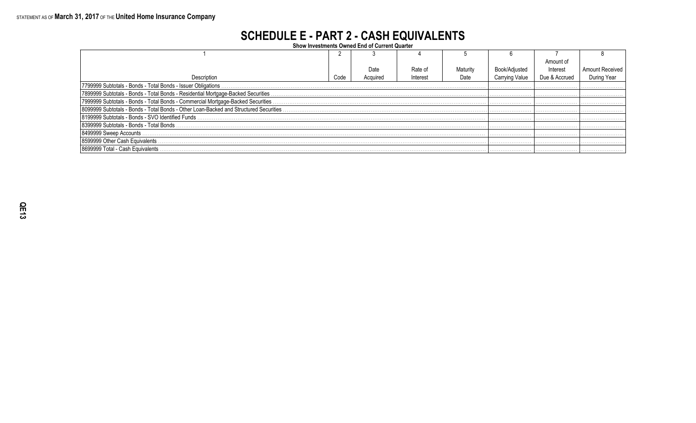### **SCHEDULE E - PART 2 - CASH EQUIVALENTS**

Show Investments Owned End of Current Quarter

|                                                                                       |      |          |          |          |                | Amount of     |                        |  |  |
|---------------------------------------------------------------------------------------|------|----------|----------|----------|----------------|---------------|------------------------|--|--|
|                                                                                       |      | Date     | Rate of  | Maturity | Book/Adjusted  | Interest      | <b>Amount Received</b> |  |  |
| Description                                                                           | Code | Acquired | Interest | Date     | Carrying Value | Due & Accrued | During Year            |  |  |
| 7799999 Subtotals - Bonds - Total Bonds - Issuer Obligations.                         |      |          |          |          |                |               |                        |  |  |
|                                                                                       |      |          |          |          |                |               |                        |  |  |
|                                                                                       |      |          |          |          |                |               |                        |  |  |
| 8099999 Subtotals - Bonds - Total Bonds - Other Loan-Backed and Structured Securities |      |          |          |          |                |               |                        |  |  |
|                                                                                       |      |          |          |          |                |               |                        |  |  |
| l 8399999 Subtotals - Bonds - Total Bonds .                                           |      |          |          |          |                |               |                        |  |  |
| 8499999 Sweep Accounts                                                                |      |          |          |          |                |               |                        |  |  |
| 8599999 Other Cash Equivalents.                                                       |      |          |          |          |                |               |                        |  |  |
| 18699999 Total - Cash Equivalents                                                     |      |          |          |          |                |               |                        |  |  |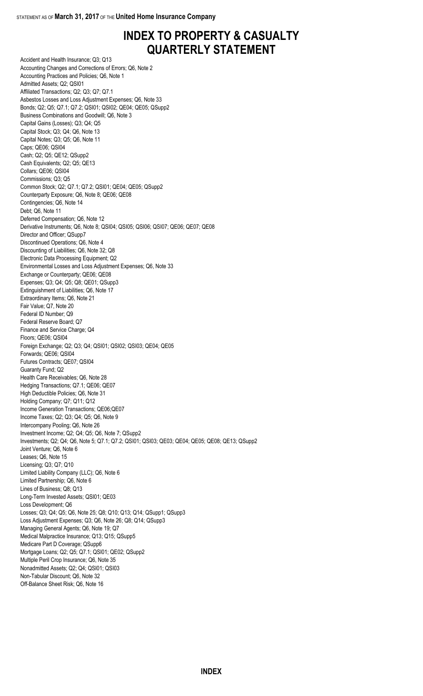### **INDEX TO PROPERTY & CASUALTY QUARTERLY STATEMENT**

Accident and Health Insurance; Q3; Q13 Accounting Changes and Corrections of Errors; Q6, Note 2 Accounting Practices and Policies; Q6, Note 1 Admitted Assets; Q2; QSI01 Affiliated Transactions; Q2; Q3; Q7; Q7.1 Asbestos Losses and Loss Adjustment Expenses; Q6, Note 33 Bonds; Q2; Q5; Q7.1; Q7.2; QSI01; QSI02; QE04; QE05; QSupp2 Business Combinations and Goodwill; Q6, Note 3 Capital Gains (Losses); Q3; Q4; Q5 Capital Stock; Q3; Q4; Q6, Note 13 Capital Notes; Q3; Q5; Q6, Note 11 Caps; QE06; QSI04 Cash; Q2; Q5; QE12; QSupp2 Cash Equivalents; Q2; Q5; QE13 Collars; QE06; QSI04 Commissions; Q3; Q5 Common Stock; Q2; Q7.1; Q7.2; QSI01; QE04; QE05; QSupp2 Counterparty Exposure; Q6, Note 8; QE06; QE08 Contingencies; Q6, Note 14 Debt; Q6, Note 11 Deferred Compensation; Q6, Note 12 Derivative Instruments; Q6, Note 8; QSI04; QSI05; QSI06; QSI07; QE06; QE07; QE08 Director and Officer; QSupp7 Discontinued Operations; Q6, Note 4 Discounting of Liabilities; Q6, Note 32; Q8 Electronic Data Processing Equipment; Q2 Environmental Losses and Loss Adjustment Expenses; Q6, Note 33 Exchange or Counterparty; QE06; QE08 Expenses; Q3; Q4; Q5; Q8; QE01; QSupp3 Extinguishment of Liabilities; Q6, Note 17 Extraordinary Items; Q6, Note 21 Fair Value; Q7, Note 20 Federal ID Number; Q9 Federal Reserve Board; Q7 Finance and Service Charge; Q4 Floors; QE06; QSI04 Foreign Exchange; Q2; Q3; Q4; QSI01; QSI02; QSI03; QE04; QE05 Forwards; QE06; QSI04 Futures Contracts; QE07; QSI04 Guaranty Fund; Q2 Health Care Receivables; Q6, Note 28 Hedging Transactions; Q7.1; QE06; QE07 High Deductible Policies; Q6, Note 31 Holding Company; Q7; Q11; Q12 Income Generation Transactions; QE06;QE07 Income Taxes; Q2; Q3; Q4; Q5; Q6, Note 9 Intercompany Pooling; Q6, Note 26 Investment Income; Q2; Q4; Q5; Q6, Note 7; QSupp2 Investments; Q2; Q4; Q6, Note 5; Q7.1; Q7.2; QSI01; QSI03; QE03; QE04; QE05; QE08; QE13; QSupp2 Joint Venture; Q6, Note 6 Leases; Q6, Note 15 Licensing; Q3; Q7; Q10 Limited Liability Company (LLC); Q6, Note 6 Limited Partnership; Q6, Note 6 Lines of Business; Q8; Q13 Long-Term Invested Assets; QSI01; QE03 Loss Development; Q6 Losses; Q3; Q4; Q5; Q6, Note 25; Q8; Q10; Q13; Q14; QSupp1; QSupp3 Loss Adjustment Expenses; Q3; Q6, Note 26; Q8; Q14; QSupp3 Managing General Agents; Q6, Note 19; Q7 Medical Malpractice Insurance; Q13; Q15; QSupp5 Medicare Part D Coverage; QSupp6 Mortgage Loans; Q2; Q5; Q7.1; QSI01; QE02; QSupp2 Multiple Peril Crop Insurance; Q6, Note 35 Nonadmitted Assets; Q2; Q4; QSI01; QSI03 Non-Tabular Discount; Q6, Note 32 Off-Balance Sheet Risk; Q6, Note 16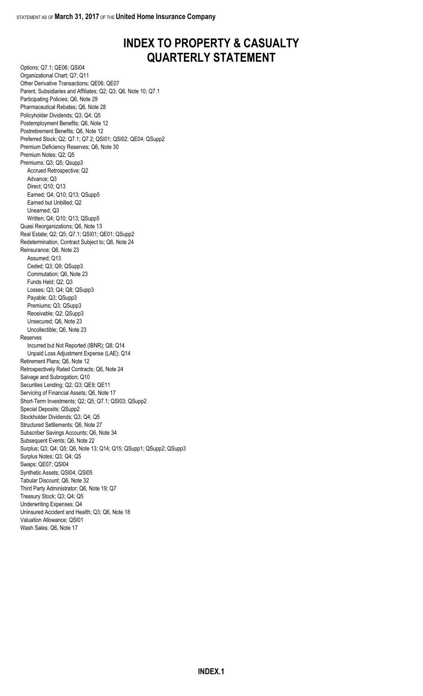### **INDEX TO PROPERTY & CASUALTY QUARTERLY STATEMENT**

Options; Q7.1; QE06; QSI04 Organizational Chart; Q7; Q11 Other Derivative Transactions; QE06; QE07 Parent, Subsidiaries and Affiliates; Q2; Q3; Q6, Note 10; Q7.1 Participating Policies; Q6, Note 29 Pharmaceutical Rebates; Q6, Note 28 Policyholder Dividends; Q3; Q4; Q5 Postemployment Benefits; Q6, Note 12 Postretirement Benefits; Q6, Note 12 Preferred Stock; Q2; Q7.1; Q7.2; QSI01; QSI02; QE04; QSupp2 Premium Deficiency Reserves; Q6, Note 30 Premium Notes; Q2; Q5 Premiums; Q3; Q5; Qsupp3 Accrued Retrospective; Q2 Advance; Q3 Direct; Q10; Q13 Earned; Q4; Q10; Q13; QSupp5 Earned but Unbilled; Q2 Unearned; Q3 Written; Q4; Q10; Q13; QSupp5 Quasi Reorganizations; Q6, Note 13 Real Estate; Q2; Q5; Q7.1; QSI01; QE01; QSupp2 Redetermination, Contract Subject to; Q6, Note 24 Reinsurance; Q6, Note 23 Assumed; Q13 Ceded; Q3; Q9; QSupp3 Commutation; Q6, Note 23 Funds Held; Q2; Q3 Losses; Q3; Q4; Q8; QSupp3 Payable; Q3; QSupp3 Premiums; Q3; QSupp3 Receivable; Q2; QSupp3 Unsecured; Q6, Note 23 Uncollectible; Q6, Note 23 Reserves Incurred but Not Reported (IBNR); Q8; Q14 Unpaid Loss Adjustment Expense (LAE); Q14 Retirement Plans; Q6, Note 12 Retrospectively Rated Contracts; Q6, Note 24 Salvage and Subrogation; Q10 Securities Lending; Q2; Q3; QE9; QE11 Servicing of Financial Assets; Q6, Note 17 Short-Term Investments; Q2; Q5; Q7.1; QSI03; QSupp2 Special Deposits; QSupp2 Stockholder Dividends; Q3; Q4; Q5 Structured Settlements; Q6, Note 27 Subscriber Savings Accounts; Q6, Note 34 Subsequent Events; Q6, Note 22 Surplus; Q3; Q4; Q5; Q6, Note 13; Q14; Q15; QSupp1; QSupp2; QSupp3 Surplus Notes; Q3; Q4; Q5 Swaps; QE07; QSI04 Synthetic Assets; QSI04; QSI05 Tabular Discount; Q6, Note 32 Third Party Administrator; Q6, Note 19; Q7 Treasury Stock; Q3; Q4; Q5 Underwriting Expenses; Q4 Uninsured Accident and Health; Q3; Q6, Note 18 Valuation Allowance; QSI01 Wash Sales; Q6, Note 17